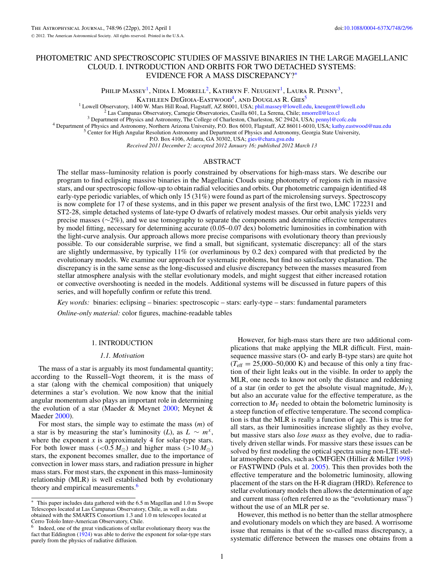Philip Massey<sup>1</sup>, Nidia I. Morrell<sup>2</sup>, Kathryn F. Neugent<sup>1</sup>, Laura R. Penny<sup>3</sup>,

Kathleen DeGioia-Eastwood<sup>4</sup>, and Douglas R. Gies<sup>5</sup>

<sup>1</sup> Lowell Observatory, 1400 W. Mars Hill Road, Flagstaff, AZ 86001, USA; phil.massey@lowell.edu, kneugent@lowell.edu<br><sup>2</sup> Las Campanas Observatory, Carnegie Observatories, Casilla 601, La Serena, Chile; nmorrell@lco.cl<br><sup>3</sup>

P.O. Box 4106, Atlanta, GA 30302, USA; gies@chara.gsu.edu

*Received 2011 December 2; accepted 2012 January 16; published 2012 March 13*

# ABSTRACT

The stellar mass–luminosity relation is poorly constrained by observations for high-mass stars. We describe our program to find eclipsing massive binaries in the Magellanic Clouds using photometry of regions rich in massive stars, and our spectroscopic follow-up to obtain radial velocities and orbits. Our photometric campaign identified 48 early-type periodic variables, of which only 15 (31%) were found as part of the microlensing surveys. Spectroscopy is now complete for 17 of these systems, and in this paper we present analysis of the first two, LMC 172231 and ST2-28, simple detached systems of late-type O dwarfs of relatively modest masses. Our orbit analysis yields very precise masses (∼2%), and we use tomography to separate the components and determine effective temperatures by model fitting, necessary for determining accurate (0.05–0.07 dex) bolometric luminosities in combination with the light-curve analysis. Our approach allows more precise comparisons with evolutionary theory than previously possible. To our considerable surprise, we find a small, but significant, systematic discrepancy: all of the stars are slightly undermassive, by typically 11% (or overluminous by 0.2 dex) compared with that predicted by the evolutionary models. We examine our approach for systematic problems, but find no satisfactory explanation. The discrepancy is in the same sense as the long-discussed and elusive discrepancy between the masses measured from stellar atmosphere analysis with the stellar evolutionary models, and might suggest that either increased rotation or convective overshooting is needed in the models. Additional systems will be discussed in future papers of this series, and will hopefully confirm or refute this trend.

*Key words:* binaries: eclipsing – binaries: spectroscopic – stars: early-type – stars: fundamental parameters *Online-only material:* color figures, machine-readable tables

## 1. INTRODUCTION

#### *1.1. Motivation*

The mass of a star is arguably its most fundamental quantity; according to the Russell–Vogt theorem, it is the mass of a star (along with the chemical composition) that uniquely determines a star's evolution. We now know that the initial angular momentum also plays an important role in determining the evolution of a star (Maeder & Meynet 2000; Meynet & Maeder 2000).

For most stars, the simple way to estimate the mass (*m*) of a star is by measuring the star's luminosity (*L*), as  $L \sim m^x$ , where the exponent  $x$  is approximately 4 for solar-type stars. For both lower mass (<0.5  $M_{\odot}$ ) and higher mass (>10  $M_{\odot}$ ) stars, the exponent becomes smaller, due to the importance of convection in lower mass stars, and radiation pressure in higher mass stars. For most stars, the exponent in this mass–luminosity relationship (MLR) is well established both by evolutionary theory and empirical measurements.<sup>6</sup>

However, for high-mass stars there are two additional complications that make applying the MLR difficult. First, mainsequence massive stars (O- and early B-type stars) are quite hot  $(T_{\text{eff}} = 25,000 - 50,000 \text{ K})$  and because of this only a tiny fraction of their light leaks out in the visible. In order to apply the MLR, one needs to know not only the distance and reddening of a star (in order to get the absolute visual magnitude,  $M_V$ ), but also an accurate value for the effective temperature, as the correction to  $M_V$  needed to obtain the bolometric luminosity is a steep function of effective temperature. The second complication is that the MLR is really a function of age. This is true for all stars, as their luminosities increase slightly as they evolve, but massive stars also *lose mass* as they evolve, due to radiatively driven stellar winds. For massive stars these issues can be solved by first modeling the optical spectra using non-LTE stellar atmosphere codes, such as CMFGEN (Hillier & Miller 1998) or FASTWIND (Puls et al. 2005). This then provides both the effective temperature and the bolometric luminosity, allowing placement of the stars on the H-R diagram (HRD). Reference to stellar evolutionary models then allows the determination of age and current mass (often referred to as the "evolutionary mass") without the use of an MLR per se.

However, this method is no better than the stellar atmosphere and evolutionary models on which they are based. A worrisome issue that remains is that of the so-called mass discrepancy, a systematic difference between the masses one obtains from a

This paper includes data gathered with the 6.5 m Magellan and 1.0 m Swope Telescopes located at Las Campanas Observatory, Chile, as well as data obtained with the SMARTS Consortium 1.3 and 1.0 m telescopes located at Cerro Tololo Inter-American Observatory, Chile.

Indeed, one of the great vindications of stellar evolutionary theory was the fact that Eddington  $(1924)$  was able to derive the exponent for solar-type stars purely from the physics of radiative diffusion.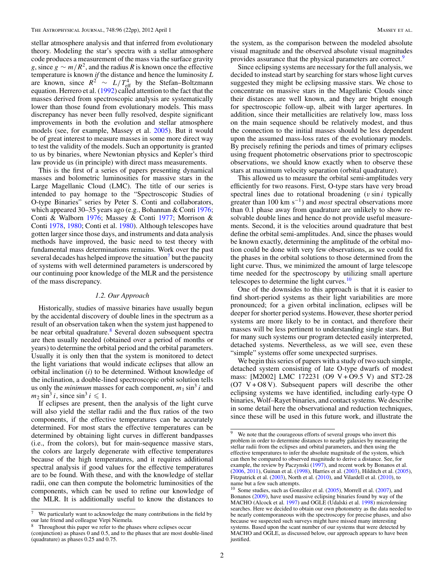stellar atmosphere analysis and that inferred from evolutionary theory. Modeling the star's spectra with a stellar atmosphere code produces a measurement of the mass via the surface gravity *g*, since  $g \sim m/R^2$ , and the radius *R* is known once the effective temperature is known *if* the distance and hence the luminosity *L* are known, since  $R^2 \sim L/T_{\text{eff}}^4$  by the Stefan–Boltzmann equation. Herrero et al. (1992) called attention to the fact that the masses derived from spectroscopic analysis are systematically lower than those found from evolutionary models. This mass discrepancy has never been fully resolved, despite significant improvements in both the evolution and stellar atmosphere models (see, for example, Massey et al. 2005). But it would be of great interest to measure masses in some more direct way to test the validity of the models. Such an opportunity is granted to us by binaries, where Newtonian physics and Kepler's third law provide us (in principle) with direct mass measurements.

This is the first of a series of papers presenting dynamical masses and bolometric luminosities for massive stars in the Large Magellanic Cloud (LMC). The title of our series is intended to pay homage to the "Spectroscopic Studies of O-type Binaries" series by Peter S. Conti and collaborators, which appeared 30–35 years ago (e.g., Bohannan & Conti 1976; Conti & Walborn 1976; Massey & Conti 1977; Morrison & Conti 1978, 1980; Conti et al. 1980). Although telescopes have gotten larger since those days, and instruments and data analysis methods have improved, the basic need to test theory with fundamental mass determinations remains. Work over the past several decades has helped improve the situation<sup>7</sup> but the paucity of systems with well determined parameters is underscored by our continuing poor knowledge of the MLR and the persistence of the mass discrepancy.

# *1.2. Our Approach*

Historically, studies of massive binaries have usually begun by the accidental discovery of double lines in the spectrum as a result of an observation taken when the system just happened to be near orbital quadrature.<sup>8</sup> Several dozen subsequent spectra are then usually needed (obtained over a period of months or years) to determine the orbital period and the orbital parameters. Usually it is only then that the system is monitored to detect the light variations that would indicate eclipses that allow an orbital inclination (*i*) to be determined. Without knowledge of the inclination, a double-lined spectroscopic orbit solution tells us only the *minimum* masses for each component,  $m_1 \sin^3 i$  and  $m_2 \sin^3 i$ , since  $\sin^3 i \leq 1$ .

If eclipses are present, then the analysis of the light curve will also yield the stellar radii and the flux ratios of the two components, if the effective temperatures can be accurately determined. For most stars the effective temperatures can be determined by obtaining light curves in different bandpasses (i.e., from the colors), but for main-sequence massive stars, the colors are largely degenerate with effective temperatures because of the high temperatures, and it requires additional spectral analysis if good values for the effective temperatures are to be found. With these, and with the knowledge of stellar radii, one can then compute the bolometric luminosities of the components, which can be used to refine our knowledge of the MLR. It is additionally useful to know the distances to

the system, as the comparison between the modeled absolute visual magnitude and the observed absolute visual magnitudes provides assurance that the physical parameters are correct.<sup>9</sup>

Since eclipsing systems are necessary for the full analysis, we decided to instead start by searching for stars whose light curves suggested they might be eclipsing massive stars. We chose to concentrate on massive stars in the Magellanic Clouds since their distances are well known, and they are bright enough for spectroscopic follow-up, albeit with larger apertures. In addition, since their metallicities are relatively low, mass loss on the main sequence should be relatively modest, and thus the connection to the initial masses should be less dependent upon the assumed mass-loss rates of the evolutionary models. By precisely refining the periods and times of primary eclipses using frequent photometric observations prior to spectroscopic observations, we should know exactly when to observe these stars at maximum velocity separation (orbital quadrature).

This allowed us to measure the orbital semi-amplitudes very efficiently for two reasons. First, O-type stars have very broad spectral lines due to rotational broadening  $(v \sin i$  typically greater than 100 km s−1) and *most* spectral observations more than 0.1 phase away from quadrature are unlikely to show resolvable double lines and hence do not provide useful measurements. Second, it is the velocities around quadrature that best define the orbital semi-amplitudes. And, since the phases would be known exactly, determining the amplitude of the orbital motion could be done with very few observations, as we could fix the phases in the orbital solutions to those determined from the light curve. Thus, we minimized the amount of large telescope time needed for the spectroscopy by utilizing small aperture telescopes to determine the light curves. $10$ 

One of the downsides to this approach is that it is easier to find short-period systems as their light variabilities are more pronounced; for a given orbital inclination, eclipses will be deeper for shorter period systems. However, these shorter period systems are more likely to be in contact, and therefore their masses will be less pertinent to understanding single stars. But for many such systems our program detected easily interpreted, detached systems. Nevertheless, as we will see, even these "simple" systems offer some unexpected surprises.

We begin this series of papers with a study of two such simple, detached system consisting of late O-type dwarfs of modest mass: [M2002] LMC 172231 (O9 V + O9.5 V) and ST2-28  $(O7 \text{ V} + O8 \text{ V})$ . Subsequent papers will describe the other eclipsing systems we have identified, including early-type O binaries, Wolf–Rayet binaries, and contact systems. We describe in some detail here the observational and reduction techniques, since these will be used in this future work, and illustrate the

<sup>&</sup>lt;sup>7</sup> We particularly want to acknowledge the many contributions in the field by our late friend and colleague Virpi Niemela.

Throughout this paper we refer to the phases where eclipses occur

<sup>(</sup>conjunction) as phases 0 and 0.5, and to the phases that are most double-lined (quadrature) as phases 0.25 and 0.75.

<sup>&</sup>lt;sup>9</sup> We note that the courageous efforts of several groups who invert this problem in order to determine distances to nearby galaxies by measuring the stellar radii from the eclipses and orbital parameters, and then using the effective temperatures to infer the absolute magnitude of the system, which can then be compared to observed magnitude to derive a distance. See, for example, the review by Paczynski (1997), and recent work by Bonanos et al. (2006, 2011), Guinan et al. (1998), Harries et al. (2003), Hilditch et al. (2005), Fitzpatrick et al. (2003), North et al. (2010), and Vilardell et al. (2010), to name but a few such attempts.

 $10$  Some studies, such as González et al. (2005), Morrell et al. (2007), and Bonanos (2009), have used massive eclipsing binaries found by way of the MACHO (Alcock et al. 1997) and OGLE (Udalski et al. 1998) microlensing searches. Here we decided to obtain our own photometry as the data needed to be nearly contemporaneous with the spectroscopy for precise phases, and also because we suspected such surveys might have missed many interesting systems. Based upon the scant number of our systems that were detected by MACHO and OGLE, as discussed below, our approach appears to have been justified.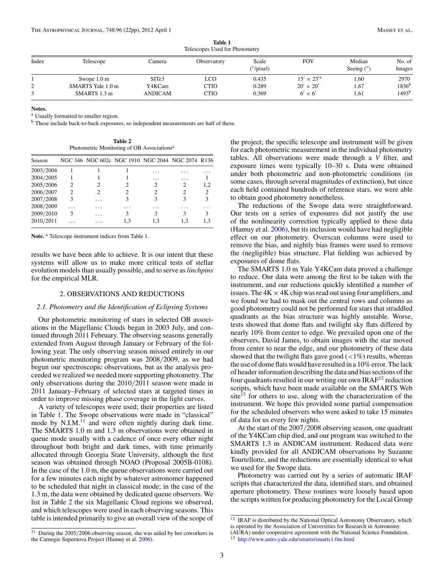| Index       | Telescope             | Camera            | Observatory | Scale<br>("/pixel) | <b>FOV</b>           | Median<br>Seeing $('')$ | No. of<br>Images  |  |  |
|-------------|-----------------------|-------------------|-------------|--------------------|----------------------|-------------------------|-------------------|--|--|
|             | Swope $1.0 \text{ m}$ | SITe <sub>3</sub> | LCO.        | 0.435              | $15' \times 23'^{a}$ | 1.60                    | 2970              |  |  |
| $\sim$<br>∠ | SMARTS Yale 1.0 m     | Y4KCam            | CTIO        | 0.289              | $20' \times 20'$     | 1.67                    | $1836^{b}$        |  |  |
|             | SMARTS 1.3 m          | ANDICAM           | CTIO        | 0.369              | $6' \times 6'$       | 1.61                    | 1493 <sup>b</sup> |  |  |

**Table 1** Telescopes Used for Photometry

#### **Notes.**

<sup>a</sup> Usually formatted to smaller region.

<sup>b</sup> These include back-to-back exposures, so independent measurements are half of these.

**Table 2** Photometric Monitoring of OB Associations<sup>a</sup>

| Season    |   |   | NGC 346 NGC 602c NGC 1910 NGC 2044 NGC 2074 R136 |     |     |                             |
|-----------|---|---|--------------------------------------------------|-----|-----|-----------------------------|
| 2003/2004 |   |   |                                                  | .   |     |                             |
| 2004/2005 |   |   |                                                  | .   | .   |                             |
| 2005/2006 | 2 |   |                                                  |     | 2   | 1,2                         |
| 2006/2007 | っ |   |                                                  |     | 2   | $\mathcal{D}_{\mathcal{L}}$ |
| 2007/2008 | 3 | . |                                                  | 3   | 3   | 3                           |
| 2008/2009 | . | . |                                                  | .   |     |                             |
| 2009/2010 | 3 | . |                                                  | 3   | 3   |                             |
| 2010/2011 |   | . | 1.3                                              | 1.3 | 1.3 | 1,3                         |

Note.<sup>a</sup> Telescope instrument indices from Table 1.

results we have been able to achieve. It is our intent that these systems will allow us to make more critical tests of stellar evolution models than usually possible, and to serve as*linchpins* for the empirical MLR.

#### 2. OBSERVATIONS AND REDUCTIONS

## *2.1. Photometry and the Identification of Eclipsing Systems*

Our photometric monitoring of stars in selected OB associations in the Magellanic Clouds began in 2003 July, and continued through 2011 February. The observing seasons generally extended from August through January or February of the following year. The only observing season missed entirely in our photometric monitoring program was 2008/2009, as we had begun our spectroscopic observations, but as the analysis proceeded we realized we needed more supporting photometry. The only observations during the 2010/2011 season were made in 2011 January–February of selected stars at targeted times in order to improve missing phase coverage in the light curves.

A variety of telescopes were used; their properties are listed in Table 1. The Swope observations were made in "classical" mode by  $N.I.M.<sup>11</sup>$  and were often nightly during dark time. The SMARTS 1.0 m and 1.3 m observations were obtained in queue mode usually with a cadence of once every other night throughout both bright and dark times, with time primarily allocated through Georgia State University, although the first season was obtained through NOAO (Proposal 2005B-0108). In the case of the 1.0 m, the queue observations were carried out for a few minutes each night by whatever astronomer happened to be scheduled that night in classical mode; in the case of the 1.3 m, the data were obtained by dedicated queue observers. We list in Table 2 the six Magellanic Cloud regions we observed, and which telescopes were used in each observing seasons. This table is intended primarily to give an overall view of the scope of

the project; the specific telescope and instrument will be given for each photometric measurement in the individual photometry tables. All observations were made through a *V* filter, and exposure times were typically 10–30 s. Data were obtained under both photometric and non-photometric conditions (in some cases, through several magnitudes of extinction), but since each field contained hundreds of reference stars, we were able to obtain good photometry nonetheless.

The reductions of the Swope data were straightforward. Our tests on a series of exposures did not justify the use of the nonlinearity correction typically applied to these data (Hamuy et al. 2006), but its inclusion would have had negligible effect on our photometry. Overscan columns were used to remove the bias, and nightly bias frames were used to remove the (negligible) bias structure. Flat fielding was achieved by exposures of dome flats.

The SMARTS 1.0 m Yale Y4KCam data proved a challenge to reduce. Our data were among the first to be taken with the instrument, and our reductions quickly identified a number of issues. The  $4K \times 4K$  chip was read out using four amplifiers, and we found we had to mask out the central rows and columns as good photometry could not be performed for stars that straddled quadrants as the bias structure was highly unstable. Worse, tests showed that dome flats and twilight sky flats differed by nearly 10% from center to edge. We prevailed upon one of the observers, David James, to obtain images with the star moved from center to near the edge, and our photometry of these data showed that the twilight flats gave good  $\left($  <1%) results, whereas the use of dome flats would have resulted in a 10% error. The lack of header information describing the data and bias sections of the four quadrants resulted in our writing our own  $IRAF<sup>12</sup>$  reduction scripts, which have been made available on the SMARTS Web site<sup>13</sup> for others to use, along with the characterization of the instrument. We hope this provided some partial compensation for the scheduled observers who were asked to take 15 minutes of data for us every few nights.

At the start of the 2007/2008 observing season, one quadrant of the Y4KCam chip died, and our program was switched to the SMARTS 1.3 m ANDICAM instrument. Reduced data were kindly provided for all ANDICAM observations by Suzanne Tourtellotte, and the reductions are essentially identical to what we used for the Swope data.

Photometry was carried out by a series of automatic IRAF scripts that characterized the data, identified stars, and obtained aperture photometry. These routines were loosely based upon the scripts written for producing photometry for the Local Group

<sup>&</sup>lt;sup>12</sup> IRAF is distributed by the National Optical Astronomy Observatory, which is operated by the Association of Universities for Research in Astronomy (AURA) under cooperative agreement with the National Science Foundation.

 $^{11}\,$  During the 2005/2006 observing season, she was aided by her coworkers in the Carnegie Supernova Project (Hamuy et al. 2006).

<sup>13</sup> http://www.astro.yale.edu/smarts/smarts1.0m.html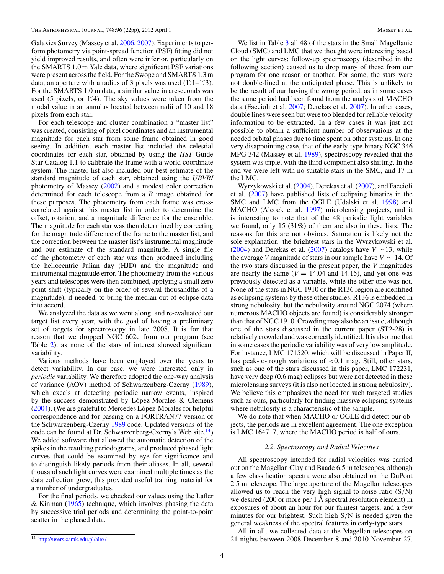Galaxies Survey (Massey et al. 2006, 2007). Experiments to perform photometry via point-spread function (PSF) fitting did not yield improved results, and often were inferior, particularly on the SMARTS 1.0 m Yale data, where significant PSF variations were present across the field. For the Swope and SMARTS 1.3 m data, an aperture with a radius of 3 pixels was used  $(1$ ." $1$ – $1$ ." $3$ ). For the SMARTS 1.0 m data, a similar value in arcseconds was used (5 pixels, or 1"4). The sky values were taken from the modal value in an annulus located between radii of 10 and 18 pixels from each star.

For each telescope and cluster combination a "master list" was created, consisting of pixel coordinates and an instrumental magnitude for each star from some frame obtained in good seeing. In addition, each master list included the celestial coordinates for each star, obtained by using the *HST* Guide Star Catalog 1.1 to calibrate the frame with a world coordinate system. The master list also included our best estimate of the standard magnitude of each star, obtained using the *UBVRI* photometry of Massey (2002) and a modest color correction determined for each telescope from a *B* image obtained for these purposes. The photometry from each frame was crosscorrelated against this master list in order to determine the offset, rotation, and a magnitude difference for the ensemble. The magnitude for each star was then determined by correcting for the magnitude difference of the frame to the master list, and the correction between the master list's instrumental magnitude and our estimate of the standard magnitude. A single file of the photometry of each star was then produced including the heliocentric Julian day (HJD) and the magnitude and instrumental magnitude error. The photometry from the various years and telescopes were then combined, applying a small zero point shift (typically on the order of several thousandths of a magnitude), if needed, to bring the median out-of-eclipse data into accord.

We analyzed the data as we went along, and re-evaluated our target list every year, with the goal of having a preliminary set of targets for spectroscopy in late 2008. It is for that reason that we dropped NGC 602c from our program (see Table 2), as none of the stars of interest showed significant variability.

Various methods have been employed over the years to detect variability. In our case, we were interested only in *periodic* variability. We therefore adopted the one-way analysis of variance (AOV) method of Schwarzenberg-Czerny (1989), which excels at detecting periodic narrow events, inspired by the success demonstrated by López-Morales  $&$  Clemens  $(2004)$ . (We are grateful to Mercedes López-Morales for helpful correspondence and for passing on a FORTRAN77 version of the Schwarzenberg-Czerny 1989 code. Updated versions of the code can be found at Dr. Schwarzenberg-Czerny's Web site. $^{14}$ ) We added software that allowed the automatic detection of the spikes in the resulting periodograms, and produced phased light curves that could be examined by eye for significance and to distinguish likely periods from their aliases. In all, several thousand such light curves were examined multiple times as the data collection grew; this provided useful training material for a number of undergraduates.

For the final periods, we checked our values using the Lafler  $&$  Kinman (1965) technique, which involves phasing the data by successive trial periods and determining the point-to-point scatter in the phased data.

We list in Table 3 all 48 of the stars in the Small Magellanic Cloud (SMC) and LMC that we thought were interesting based on the light curves; follow-up spectroscopy (described in the following section) caused us to drop many of these from our program for one reason or another. For some, the stars were not double-lined at the anticipated phase. This is unlikely to be the result of our having the wrong period, as in some cases the same period had been found from the analysis of MACHO data (Faccioli et al. 2007; Derekas et al. 2007). In other cases, double lines were seen but were too blended for reliable velocity information to be extracted. In a few cases it was just not possible to obtain a sufficient number of observations at the needed orbital phases due to time spent on other systems. In one very disappointing case, that of the early-type binary NGC 346 MPG 342 (Massey et al. 1989), spectroscopy revealed that the system was triple, with the third component also shifting. In the end we were left with no suitable stars in the SMC, and 17 in the LMC.

Wyrzykowski et al. (2004), Derekas et al. (2007), and Faccioli et al. (2007) have published lists of eclipsing binaries in the SMC and LMC from the OGLE (Udalski et al. 1998) and MACHO (Alcock et al. 1997) microlensing projects, and it is interesting to note that of the 48 periodic light variables we found, only 15 (31%) of them are also in these lists. The reasons for this are not obvious. Saturation is likely not the sole explanation: the brightest stars in the Wyrzykowski et al. (2004) and Derekas et al. (2007) catalogs have  $V \sim 13$ , while the average *V* magnitude of stars in our sample have  $V \sim 14$ . Of the two stars discussed in the present paper, the *V* magnitudes are nearly the same  $(V = 14.04$  and 14.15), and yet one was previously detected as a variable, while the other one was not. None of the stars in NGC 1910 or the R136 region are identified as eclipsing systems by these other studies. R136 is embedded in strong nebulosity, but the nebulosity around NGC 2074 (where numerous MACHO objects are found) is considerably stronger than that of NGC 1910. Crowding may also be an issue, although one of the stars discussed in the current paper (ST2-28) is relatively crowded and was correctly identified. It is also true that in some cases the periodic variability was of very low amplitude. For instance, LMC 171520, which will be discussed in Paper II, has peak-to-trough variations of <0.1 mag. Still, other stars, such as one of the stars discussed in this paper, LMC 172231, have very deep (0.6 mag) eclipses but were not detected in these microlensing surveys (it is also not located in strong nebulosity). We believe this emphasizes the need for such targeted studies such as ours, particularly for finding massive eclipsing systems where nebulosity is a characteristic of the sample.

We do note that when MACHO or OGLE did detect our objects, the periods are in excellent agreement. The one exception is LMC 164717, where the MACHO period is half of ours.

#### *2.2. Spectroscopy and Radial Velocities*

All spectroscopy intended for radial velocities was carried out on the Magellan Clay and Baade 6.5 m telescopes, although a few classification spectra were also obtained on the DuPont 2.5 m telescope. The large aperture of the Magellan telescopes allowed us to reach the very high signal-to-noise ratio  $(S/N)$ we desired (200 or more per 1 Å spectral resolution element) in exposures of about an hour for our faintest targets, and a few minutes for our brightest. Such high S/N is needed given the general weakness of the spectral features in early-type stars.

All in all, we collected data at the Magellan telescopes on 21 nights between 2008 December 8 and 2010 November 27.

<sup>14</sup> http://users.camk.edu.pl/alex/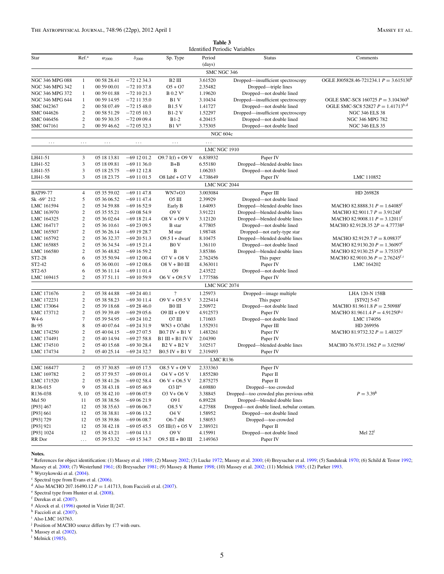**Table 3** Identified Periodic Variables

| Star                 | Ref. <sup>a</sup> | $\alpha_{2000}$ | $\delta_{2000}$              | Sp. Type                           | Period<br>(days)  | <b>Status</b>                             | Comments                                     |
|----------------------|-------------------|-----------------|------------------------------|------------------------------------|-------------------|-------------------------------------------|----------------------------------------------|
|                      |                   |                 |                              |                                    | SMC NGC 346       |                                           |                                              |
| NGC 346 MPG 088      | $\mathbf{1}$      | 00 58 28.41     | $-72$ 12 34.3                | B <sub>2</sub> III                 | 3.61520           | Dropped—insufficient spectroscopy         | OGLE J005828.46-721234.1 $P = 3.615130^b$    |
| NGC 346 MPG 342      | $\mathbf{1}$      | 00 59 00.01     | $-721037.8$                  | $O5 + O7$                          | 2.35482           | Dropped-triple lines                      |                                              |
| NGC 346 MPG 372      | $\mathbf{1}$      | 00 59 01.88     | $-721021.3$                  | $B$ 0.2 $V^c$                      | 1.19620           | Dropped-not double lined                  |                                              |
| NGC 346 MPG 644      | $\mathbf{1}$      | 00 59 14.95     | $-72$ 11 35.0                | B1 V                               | 3.10434           | Dropped-insufficient spectroscopy         | OGLE SMC-SC8 160725 $P = 3.104360^b$         |
| SMC 042367           | $\sqrt{2}$        | 00 58 07.49     | $-721548.0$                  | <b>B1.5 V</b>                      | 1.41727           | Dropped-not double lined                  | OGLE SMC-SC8 52827 $P = 1.41713^{b,d}$       |
| SMC 044626           | $\sqrt{2}$        | 00 58 51.29     | $-720510.3$                  | <b>B1-2 V</b>                      | 1.52297           | Dropped-insufficient spectroscopy         | <b>NGC 346 ELS 38</b>                        |
| SMC 046456           | $\sqrt{2}$        | 00 59 30.35     | $-720909.4$                  | $B1-2$                             | 4.20415           | Dropped-not double lined                  | NGC 346 MPG 782                              |
| SMC 047161           | $\mathfrak{2}$    | 00 59 46.62     | $-720532.3$                  | B1 V <sup>e</sup>                  | 3.75305           | Dropped-not double lined                  | <b>NGC 346 ELS 35</b>                        |
|                      |                   |                 |                              |                                    |                   | <b>NGC 604c</b>                           |                                              |
| $\cdots$             | $\cdots$          | $\ldots$        | $\ldots$                     | $\cdots$                           | .<br>LMC NGC 1910 |                                           |                                              |
| LH41-51              | 3                 | 05 18 13.81     | $-691201.2$                  | $O9.7 I(f) + O9 V$                 | 6.838932          | Paper IV                                  |                                              |
| LH41-52              | 3                 | 05 18 09.81     | $-691136.0$                  | $B + B$                            | 6.55180           | Dropped-blended double lines              |                                              |
| LH41-55              | 3                 | 05 18 25.75     | $-69$ 12 12.8                | B                                  | 1.06203           | Dropped-not double lined                  |                                              |
|                      | 3                 | 05 18 23.75     |                              |                                    | 4.738649          |                                           | LMC 110852                                   |
| LH41-58              |                   |                 | $-691101.5$                  | $O8$ Iabf + $O7$ V                 | LMC NGC 2044      | Paper IV                                  |                                              |
| <b>BAT99-77</b>      | $\overline{4}$    | 05 35 59.02     | $-69$ 11 47.8                | WN7+O3                             | 3.003084          | Paper III                                 | HD 269828                                    |
| Sk -69 $\degree$ 212 | 5                 |                 | $-69$ 11 47.4                | O5 III                             | 2.39929           | Dropped-not double lined                  |                                              |
|                      | $\sqrt{2}$        | 05 36 06.52     |                              |                                    |                   |                                           | MACHO 82.8888.31 $P = 1.64085$ <sup>t</sup>  |
| LMC 161594           |                   | 05 34 59.88     | $-691652.9$                  | Early B                            | 1.64093           | Dropped—blended double lines              |                                              |
| LMC 163970           | $\sqrt{2}$        | 05 35 55.21     | $-690854.9$                  | <b>O9 V</b>                        | 3.91221           | Dropped—blended double lines              | MACHO 82.9011.7 $P = 3.91248^f$              |
| LMC 164325           | $\sqrt{2}$        | 05 36 02.64     | $-691821.4$                  | $08 V + 09 V$                      | 3.12120           | Dropped—blended double lines              | MACHO 82.9008.11 $P = 3.12011^t$             |
| LMC 164717           | $\sqrt{2}$        | 05 36 10.61     | $-692309.5$                  | <b>B</b> star                      | 4.77805           | Dropped—not double lined                  | MACHO 82.9128.35 $2P = 4.77738$ <sup>g</sup> |
| LMC 165507           | $\sqrt{2}$        | 05 36 26.14     | $-691928.7$                  | M star                             | 1.98748           | Dropped—not early-type star               |                                              |
| LMC 165792           | $\sqrt{2}$        | 05 36 32.37     | $-692051.3$                  | $O9.5$ I + dwarf                   | 8.10475           | Dropped—blended double lines              | MACHO 82.9129.7 $P = 8.09837^t$              |
| LMC 165885           | $\sqrt{2}$        | 05 36 34.54     | $-691521.4$                  | B <sub>0</sub> V                   | 1.36110           | Dropped—not double lined                  | MACHO 82.9130.20 $P = 1.36097^t$             |
| LMC 166580           | $\sqrt{2}$        | 05 36 48.82     | $-691659.2$                  | B                                  | 3.85386           | Dropped—blended double lines              | MACHO 82.9130.25 $P = 3.75353^{\text{h}}$    |
| ST2-28               | 6                 | 05 35 50.94     | $-691200.4$                  | $O7 V + O8 V$                      | 2.762456          | This paper                                | MACHO 82.9010.36 $P = 2.76245^{t,1}$         |
| ST2-42               | 6                 | 05 36 00.01     | $-691208.6$                  | O8 V + B0 III                      | 4.363011          | Paper IV                                  | LMC 164202                                   |
| ST2-63               | 6                 | 05 36 11.14     | $-691101.4$                  | О9                                 | 2.43522           | Dropped-not double lined                  |                                              |
| LMC 169415           | $\overline{c}$    | 05 37 51.11     | $-691059.9$                  | $06 V + 09.5 V$                    | 1.777586          | Paper IV                                  |                                              |
|                      |                   |                 |                              |                                    | LMC NGC 2074      |                                           |                                              |
| LMC 171676           | 2                 | 05 38 44.88     | $-692440.1$                  | $\overline{\cdot}$                 | 1.25973           | Dropped-image multiple                    | LHA 120-N 158B                               |
| LMC 172231           | $\boldsymbol{2}$  | 05 38 58.23     | $-693011.4$                  | $O9V + O9.5V$                      | 3.225414          | This paper                                | [ST92] 5-67                                  |
| LMC 173064           | $\boldsymbol{2}$  | 05 39 18.68     | $-692846.0$                  | B0 III                             | 2.50972           | Dropped-not double lined                  | MACHO 81.9611.8 $P = 2.50988$ <sup>t</sup>   |
| LMC 173712           | $\sqrt{2}$        | 05 39 39.49     | $-692905.6$                  | $O9$ III + $O9$ V                  | 4.912573          | Paper IV                                  | MACHO 81.9611.4 $P = 4.91250h,j$             |
| W4-6                 | $\tau$            | 05 39 54.95     | $-692410.2$                  | O7 III                             | 1.71603           | Dropped-not double lined                  | LMC 174056                                   |
| Br 95                | 8                 | 05 40 07.64     | $-692431.9$                  | $WN3 + O7dbl$                      | 1.552931          | Paper III                                 | HD 269956                                    |
| LMC 174250           | $\overline{c}$    | 05 40 04.15     | $-692707.5$                  | $B0.7$ IV + B1 V                   | 1.483261          | Paper IV                                  | MACHO 81.9732.32 $P = 1.48327^t$             |
| LMC 174491           | $\sqrt{2}$        | 05 40 14.94     | $-692758.8$                  | $B1$ III + B1 IV-V                 | 2.04390           | Paper IV                                  |                                              |
| LMC 174510           | $\mathbf{2}$      | 05 40 15.68     | $-693028.4$                  | $B2V + B2V$                        | 3.02517           | Dropped—blended double lines              | MACHO 76.9731.1562 $P = 3.02596^t$           |
| LMC 174734           | $\mathfrak{2}$    | 05 40 25.14     | $-692432.7$                  | $B0.5$ IV + B1 V                   | 2.319493          | Paper IV                                  |                                              |
|                      |                   |                 |                              |                                    | <b>LMC R136</b>   |                                           |                                              |
| LMC 168477           | 2                 | 05 37 30.85     | $-690517.5$                  | $08.5 V + 09 V$                    | 2.333363          | Paper IV                                  |                                              |
| LMC 169782           | $\boldsymbol{2}$  | 05 37 59.57     | $-690901.4$                  | $04 V + 05 V$                      | 1.855280          | Paper II                                  |                                              |
| LMC 171520           | $\boldsymbol{2}$  | 05 38 41.26     | $-690258.4$                  | $06 V + 06.5 V$                    | 2.875275          | Paper II                                  |                                              |
| R136-015             | 9                 | 05 38 43.18     | $-690546.9$                  | O3 If*                             | 4.69880           | Dropped-too crowded                       |                                              |
| R136-038             | 9, 10             | 05 38 42.10     | $-690607.9$                  | $O3 V + O6 V$                      | 3.38845           | Dropped—too crowded plus previous orbit   | $P = 3.39^k$                                 |
| Mel 50               | 11                | 05 38 38.56     | $-690621.9$                  | O9 I                               | 6.89228           | Dropped—blended double lines              |                                              |
| [P93] 467            | 12                | 05 38 35.63     | $-690606.7$                  | O8.5 V                             | 4.27588           | Dropped—not double lined, nebular contam. |                                              |
| [P93] 661            | 12                | 05 38 38.81     | $-690613.2$                  | <b>O4 V</b>                        | 1.58952           | Dropped-not double lined                  |                                              |
| [P93] 729            | 12                | 05 38 39.86     | $-690608.7$                  | $O6-7$ dbl                         | 1.58053           | Dropped-too crowded                       |                                              |
| [P93] 921            | 12                | 05 38 42.18     | $-690545.5$                  | $O5 \text{ III}(f) + O5 \text{ V}$ | 2.389321          | Paper II                                  |                                              |
|                      | 12                | 05 38 43.21     |                              | <b>O9 V</b>                        | 4.15991           |                                           | Mel $221$                                    |
| [P93] 1024<br>RR Dor | $\cdots$          | 05 39 53.32     | $-690413.1$<br>$-69$ 15 34.7 | $09.5$ III + B0 III                | 2.149363          | Dropped-not double lined<br>Paper IV      |                                              |
|                      |                   |                 |                              |                                    |                   |                                           |                                              |

**Notes.**

<sup>a</sup> References for object identification: (1) Massey et al. 1989; (2) Massey 2002; (3) Lucke 1972; Massey et al. 2000; (4) Breysacher et al. 1999; (5) Sanduleak 1970; (6) Schild & Testor 1992; Massey et al. 2000; (7) Westerlund 1961; (8) Breysacher 1981; (9) Massey & Hunter 1998; (10) Massey et al. 2002; (11) Melnick 1985; (12) Parker 1993. <sup>b</sup> Wyrzykowski et al. (2004).

<sup>c</sup> Spectral type from Evans et al. (2006).

<sup>d</sup> Also MACHO 207.16490.12 *P* = 1.41713, from Faccioli et al. (2007). <sup>e</sup> Spectral type from Hunter et al. (2008).

 $\frac{1}{2}$  Derekas et al. (2007).

 $g$  Alcock et al. (1996) quoted in Vizier II/247.

h Faccioli et al. (2007).

<sup>i</sup> Also LMC 163763.

<sup>j</sup> Position of MACHO source differs by 1".7 with ours.

<sup>k</sup> Massey et al. (2002).

<sup>1</sup> Melnick (1985).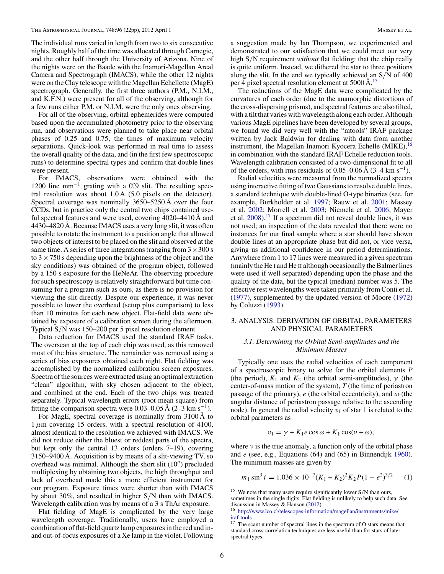The individual runs varied in length from two to six consecutive nights. Roughly half of the time was allocated through Carnegie, and the other half through the University of Arizona. Nine of the nights were on the Baade with the Inamori-Magellan Areal Camera and Spectrograph (IMACS), while the other 12 nights were on the Clay telescope with the Magellan Echellette (MagE) spectrograph. Generally, the first three authors (P.M., N.I.M., and K.F.N.) were present for all of the observing, although for a few runs either P.M. or N.I.M. were the only ones observing.

For all of the observing, orbital ephemerides were computed based upon the accumulated photometry prior to the observing run, and observations were planned to take place near orbital phases of 0.25 and 0.75, the times of maximum velocity separations. Quick-look was performed in real time to assess the overall quality of the data, and (in the first few spectroscopic runs) to determine spectral types and confirm that double lines were present.

For IMACS, observations were obtained with the 1200 line  $mm^{-1}$  grating with a 0''.9 slit. The resulting spectral resolution was about  $1.0 \text{ Å}$  (5.0 pixels on the detector). Spectral coverage was nominally 3650–5250 Å over the four CCDs, but in practice only the central two chips contained useful spectral features and were used, covering 4020–4410 Å and 4430–4820 Å. Because IMACS uses a very long slit, it was often possible to rotate the instrument to a position angle that allowed two objects of interest to be placed on the slit and observed at the same time. A series of three integrations (ranging from  $3 \times 300$  s to  $3 \times 750$  s depending upon the brightness of the object and the sky conditions) was obtained of the program object, followed by a 150 s exposure for the HeNeAr. The observing procedure for such spectroscopy is relatively straightforward but time consuming for a program such as ours, as there is no provision for viewing the slit directly. Despite our experience, it was never possible to lower the overhead (setup plus comparison) to less than 10 minutes for each new object. Flat-field data were obtained by exposure of a calibration screen during the afternoon. Typical S/N was 150–200 per 5 pixel resolution element.

Data reduction for IMACS used the standard IRAF tasks. The overscan at the top of each chip was used, as this removed most of the bias structure. The remainder was removed using a series of bias exposures obtained each night. Flat fielding was accomplished by the normalized calibration screen exposures. Spectra of the sources were extracted using an optimal extraction "clean" algorithm, with sky chosen adjacent to the object, and combined at the end. Each of the two chips was treated separately. Typical wavelength errors (root mean square) from fitting the comparison spectra were 0.03–0.05 Å (2–3 km s<sup>-1</sup>).

For MagE, spectral coverage is nominally from 3100 Å to  $1 \mu$ m covering 15 orders, with a spectral resolution of 4100, almost identical to the resolution we achieved with IMACS. We did not reduce either the bluest or reddest parts of the spectra, but kept only the central 13 orders (orders 7–19), covering 3150–9400 Å. Acquisition is by means of a slit-viewing TV, so overhead was minimal. Although the short slit (10′′) precluded multiplexing by obtaining two objects, the high throughput and lack of overhead made this a more efficient instrument for our program. Exposure times were shorter than with IMACS by about 30%, and resulted in higher S/N than with IMACS. Wavelength calibration was by means of a 3 s ThAr exposure.

Flat fielding of MagE is complicated by the very large wavelength coverage. Traditionally, users have employed a combination of flat-field quartz lamp exposures in the red and inand out-of-focus exposures of a Xe lamp in the violet. Following a suggestion made by Ian Thompson, we experimented and demonstrated to our satisfaction that we could meet our very high S/N requirement *without* flat fielding: that the chip really is quite uniform. Instead, we dithered the star to three positions along the slit. In the end we typically achieved an S/N of 400 per 4 pixel spectral resolution element at 5000 Å.<sup>15</sup>

The reductions of the MagE data were complicated by the curvatures of each order (due to the anamorphic distortions of the cross-dispersing prisms), and spectral features are also tilted, with a tilt that varies with wavelength along each order. Although various MagE pipelines have been developed by several groups, we found we did very well with the "mtools" IRAF package written by Jack Baldwin for dealing with data from another instrument, the Magellan Inamori Kyocera Echelle (MIKE), <sup>16</sup> in combination with the standard IRAF Echelle reduction tools. Wavelength calibration consisted of a two-dimensional fit to all of the orders, with rms residuals of 0.05–0.06 Å  $(3-4 \text{ km s}^{-1})$ .

Radial velocities were measured from the normalized spectra using interactive fitting of two Gaussians to resolve double lines, a standard technique with double-lined O-type binaries (see, for example, Burkholder et al. 1997; Rauw et al. 2001; Massey et al. 2002; Morrell et al. 2003; Niemela et al. 2006; Mayer et al.  $2008$ ).<sup>17</sup> If a spectrum did not reveal double lines, it was not used; an inspection of the data revealed that there were no instances for our final sample where a star should have shown double lines at an appropriate phase but did not, or vice versa, giving us additional confidence in our period determinations. Anywhere from 1 to 17 lines were measured in a given spectrum (mainly the He i and He ii although occasionally the Balmer lines were used if well separated) depending upon the phase and the quality of the data, but the typical (median) number was 5. The effective rest wavelengths were taken primarily from Conti et al. (1977), supplemented by the updated version of Moore (1972) by Coluzzi (1993).

## 3. ANALYSIS: DERIVATION OF ORBITAL PARAMETERS AND PHYSICAL PARAMETERS

## *3.1. Determining the Orbital Semi-amplitudes and the Minimum Masses*

Typically one uses the radial velocities of each component of a spectroscopic binary to solve for the orbital elements *P* (the period),  $K_1$  and  $K_2$  (the orbital semi-amplitudes),  $\gamma$  (the center-of-mass motion of the system), *T* (the time of periastron passage of the primary),  $e$  (the orbital eccentricity), and  $\omega$  (the angular distance of periastron passage relative to the ascending node). In general the radial velocity  $v_1$  of star 1 is related to the orbital parameters as

$$
v_1 = \gamma + K_1 e \cos \omega + K_1 \cos(\nu + \omega),
$$

where  $\nu$  is the true anomaly, a function only of the orbital phase and *e* (see, e.g., Equations (64) and (65) in Binnendijk 1960). The minimum masses are given by

$$
m_1 \sin^3 i = 1.036 \times 10^{-7} (K_1 + K_2)^2 K_2 P (1 - e^2)^{3/2}
$$
 (1)

<sup>&</sup>lt;sup>15</sup> We note that many users require significantly lower  $S/N$  than ours, sometimes in the single digits. Flat fielding is unlikely to help such data. See discussion in Massey & Hanson (2012).

<sup>16</sup> http://www.lco.cl/telescopes-information/magellan/instruments/mike/ iraf-tools

<sup>&</sup>lt;sup>17</sup> The scant number of spectral lines in the spectrum of O stars means that standard cross-correlation techniques are less useful than for stars of later spectral types.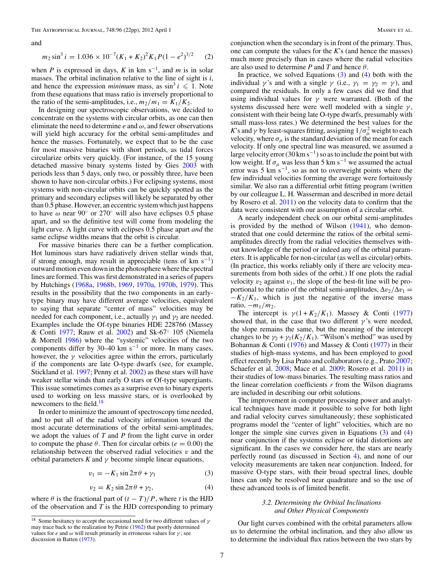and

$$
m_2 \sin^3 i = 1.036 \times 10^{-7} (K_1 + K_2)^2 K_1 P (1 - e^2)^{3/2}
$$
 (2)

when *P* is expressed in days, *K* in km s<sup>-1</sup>, and *m* is in solar masses. The orbital inclination relative to the line of sight is *i*, and hence the expression *minimum* mass, as  $\sin^3 i \leq 1$ . Note from these equations that mass ratio is inversely proportional to the ratio of the semi-amplitudes, i.e.,  $m_2/m_1 = K_1/K_2$ .

In designing our spectroscopic observations, we decided to concentrate on the systems with circular orbits, as one can then eliminate the need to determine  $e$  and  $\omega$ , and fewer observations will yield high accuracy for the orbital semi-amplitudes and hence the masses. Fortunately, we expect that to be the case for most massive binaries with short periods, as tidal forces circularize orbits very quickly. (For instance, of the 15 young detached massive binary systems listed by Gies 2003 with periods less than 5 days, only two, or possibly three, have been shown to have non-circular orbits.) For eclipsing systems, most systems with non-circular orbits can be quickly spotted as the primary and secondary eclipses will likely be separated by other than 0.5 phase. However, an eccentric system which just happens to have  $\omega$  near 90 $\degree$  or 270 $\degree$  will also have eclipses 0.5 phase apart, and so the definitive test will come from modeling the light curve. A light curve with eclipses 0.5 phase apart *and* the same eclipse widths means that the orbit is circular.

For massive binaries there can be a further complication. Hot luminous stars have radiatively driven stellar winds that, if strong enough, may result in appreciable (tens of km s<sup>-1</sup>) outward motion even down in the photosphere where the spectral lines are formed. This was first demonstrated in a series of papers by Hutchings (1968a, 1968b, 1969, 1970a, 1970b, 1979). This results in the possibility that the two components in an earlytype binary may have different average velocities, equivalent to saying that separate "center of mass" velocities may be needed for each component, i.e., actually  $\gamma_1$  and  $\gamma_2$  are needed. Examples include the Of-type binaries HDE 228766 (Massey & Conti 1977; Rauw et al. 2002) and Sk-67◦ 105 (Niemela & Morrell 1986) where the "systemic" velocities of the two components differ by 30–40 km s<sup>-1</sup> or more. In many cases, however, the  $\gamma$  velocities agree within the errors, particularly if the components are late O-type dwarfs (see, for example, Stickland et al. 1997; Penny et al. 2002) as these stars will have weaker stellar winds than early O stars or Of-type supergiants. This issue sometimes comes as a surprise even to binary experts used to working on less massive stars, or is overlooked by newcomers to the field.<sup>18</sup>

In order to minimize the amount of spectroscopy time needed, and to put all of the radial velocity information toward the most accurate determinations of the orbital semi-amplitudes, we adopt the values of *T* and *P* from the light curve in order to compute the phase  $\theta$ . Then for circular orbits ( $e = 0.00$ ) the relationship between the observed radial velocities  $v$  and the orbital parameters  $K$  and  $\gamma$  become simple linear equations,

$$
v_1 = -K_1 \sin 2\pi \theta + \gamma_1 \tag{3}
$$

$$
v_2 = K_2 \sin 2\pi \theta + \gamma_2, \tag{4}
$$

where  $\theta$  is the fractional part of  $(t - T)/P$ , where *t* is the HJD of the observation and *T* is the HJD corresponding to primary conjunction when the secondary is in front of the primary. Thus, one can compute the values for the *K*'s (and hence the masses) much more precisely than in cases where the radial velocities are also used to determine  $P$  and  $T$  and hence  $\theta$ .

In practice, we solved Equations  $(3)$  and  $(4)$  both with the individual  $\gamma$ 's and with a single  $\gamma$  (i.e.,  $\gamma_1 = \gamma_2 = \gamma$ ), and compared the residuals. In only a few cases did we find that using individual values for  $\gamma$  were warranted. (Both of the systems discussed here were well modeled with a single  $\gamma$ , consistent with their being late O-type dwarfs, presumably with small mass-loss rates.) We determined the best values for the *K*'s and  $\gamma$  by least-squares fitting, assigning  $1/\sigma_\mu^2$  weight to each velocity, where  $\sigma_{\mu}$  is the standard deviation of the mean for each velocity. If only one spectral line was measured, we assumed a large velocity error (30 km s<sup>-1</sup>) so as to include the point but with low weight. If  $\sigma_{\mu}$  was less than 5 km s<sup>-1</sup> we assumed the actual error was 5 km s<sup> $-1$ </sup>, so as not to overweight points where the few individual velocities forming the average were fortuitously similar. We also ran a differential orbit fitting program (written by our colleague L. H. Wasserman and described in more detail by Rosero et al. 2011) on the velocity data to confirm that the data were consistent with our assumption of a circular orbit.

A nearly independent check on our orbital semi-amplitudes is provided by the method of Wilson (1941), who demonstrated that one could determine the ratios of the orbital semiamplitudes directly from the radial velocities themselves without knowledge of the period or indeed any of the orbital parameters. It is applicable for non-circular (as well as circular) orbits. (In practice, this works reliably only if there are velocity measurements from both sides of the orbit.) If one plots the radial velocity  $v_2$  against  $v_1$ , the slope of the best-fit line will be proportional to the ratio of the orbital semi-amplitudes,  $\Delta v_2/\Delta v_1 =$  $-K_2/K_1$ , which is just the negative of the inverse mass ratio,  $-m_1/m_2$ .

The intercept is  $\gamma(1 + K_2/K_1)$ . Massey & Conti (1977) showed that, in the case that two different  $\gamma$ 's were needed, the slope remains the same, but the meaning of the intercept changes to be  $\gamma_2 + \gamma_1(K_2/K_1)$ . "Wilson's method" was used by Bohannan & Conti (1976) and Massey & Conti (1977) in their studies of high-mass systems, and has been employed to good effect recently by Lisa Prato and collaborators (e.g., Prato 2007; Schaefer et al. 2008; Mace et al. 2009; Rosero et al. 2011) in their studies of low-mass binaries. The resulting mass ratios and the linear correlation coefficients *r* from the Wilson diagrams are included in describing our orbit solutions.

The improvement in computer processing power and analytical techniques have made it possible to solve for both light and radial velocity curves simultaneously; these sophisticated programs model the "center of light" velocities, which are no longer the simple sine curves given in Equations (3) and (4) near conjunction if the systems eclipse or tidal distortions are significant. In the cases we consider here, the stars are nearly perfectly round (as discussed in Section 4), and none of our velocity measurements are taken near conjunction. Indeed, for massive O-type stars, with their broad spectral lines, double lines can only be resolved near quadrature and so the use of these advanced tools is of limited benefit.

## *3.2. Determining the Orbital Inclinations and Other Physical Components*

Our light curves combined with the orbital parameters allow us to determine the orbital inclination, and they also allow us to determine the individual flux ratios between the two stars by

<sup>&</sup>lt;sup>18</sup> Some hesitancy to accept the occasional need for two different values of  $\gamma$ may trace back to the realization by Petrie (1962) that poorly determined values for *e* and  $\omega$  will result primarily in erroneous values for  $\gamma$ ; see discussion in Batten (1973).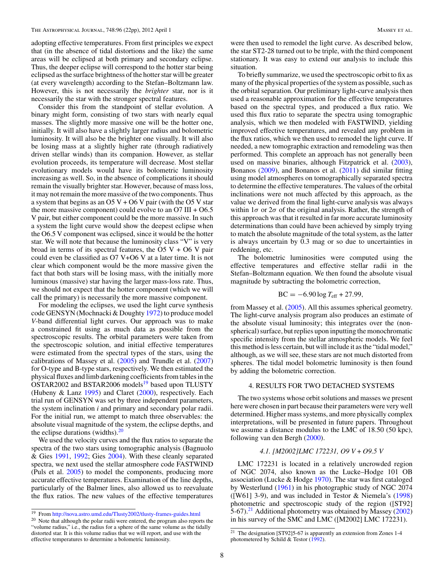adopting effective temperatures. From first principles we expect that (in the absence of tidal distortions and the like) the same areas will be eclipsed at both primary and secondary eclipse. Thus, the deeper eclipse will correspond to the hotter star being eclipsed as the surface brightness of the hotter star will be greater (at every wavelength) according to the Stefan–Boltzmann law. However, this is not necessarily the *brighter* star, nor is it necessarily the star with the stronger spectral features.

Consider this from the standpoint of stellar evolution. A binary might form, consisting of two stars with nearly equal masses. The slightly more massive one will be the hotter one, initially. It will also have a slightly larger radius and bolometric luminosity. It will also be the brighter one visually. It will also be losing mass at a slightly higher rate (through radiatively driven stellar winds) than its companion. However, as stellar evolution proceeds, its temperature will decrease. Most stellar evolutionary models would have its bolometric luminosity increasing as well. So, in the absence of complications it should remain the visually brighter star. However, because of mass loss, it may not remain the more massive of the two components. Thus a system that begins as an O5 V + O6 V pair (with the O5 V star the more massive component) could evolve to an  $O7 \text{ III} + O6.5$ V pair, but either component could be the more massive. In such a system the light curve would show the deepest eclipse when the O6.5 V component was eclipsed, since it would be the hotter star. We will note that because the luminosity class "V" is very broad in terms of its spectral features, the  $O5$  V +  $O6$  V pair could even be classified as O7 V+O6 V at a later time. It is not clear which component would be the more massive given the fact that both stars will be losing mass, with the initially more luminous (massive) star having the larger mass-loss rate. Thus, we should not expect that the hotter component (which we will call the primary) is necessarily the more massive component.

For modeling the eclipses, we used the light curve synthesis code GENSYN (Mochnacki & Doughty 1972) to produce model *V*-band differential light curves. Our approach was to make a constrained fit using as much data as possible from the spectroscopic results. The orbital parameters were taken from the spectroscopic solution, and initial effective temperatures were estimated from the spectral types of the stars, using the calibrations of Massey et al.  $(2005)$  and Trundle et al.  $(2007)$ for O-type and B-type stars, respectively. We then estimated the physical fluxes and limb darkening coefficients from tables in the OSTAR2002 and BSTAR2006 models<sup>19</sup> based upon TLUSTY (Hubeny & Lanz 1995) and Claret (2000), respectively. Each trial run of GENSYN was set by three independent parameters, the system inclination *i* and primary and secondary polar radii. For the initial run, we attempt to match three observables: the absolute visual magnitude of the system, the eclipse depths, and the eclipse durations (widths). $20$ 

We used the velocity curves and the flux ratios to separate the spectra of the two stars using tomographic analysis (Bagnuolo & Gies 1991, 1992; Gies 2004). With these cleanly separated spectra, we next used the stellar atmosphere code FASTWIND (Puls et al. 2005) to model the components, producing more accurate effective temperatures. Examination of the line depths, particularly of the Balmer lines, also allowed us to reevaluate the flux ratios. The new values of the effective temperatures were then used to remodel the light curve. As described below, the star ST2-28 turned out to be triple, with the third component stationary. It was easy to extend our analysis to include this situation.

To briefly summarize, we used the spectroscopic orbit to fix as many of the physical properties of the system as possible, such as the orbital separation. Our preliminary light-curve analysis then used a reasonable approximation for the effective temperatures based on the spectral types, and produced a flux ratio. We used this flux ratio to separate the spectra using tomographic analysis, which we then modeled with FASTWIND, yielding improved effective temperatures, and revealed any problem in the flux ratios, which we then used to remodel the light curve. If needed, a new tomographic extraction and remodeling was then performed. This complete an approach has not generally been used on massive binaries, although Fitzpatrick et al. (2003), Bonanos (2009), and Bonanos et al. (2011) did similar fitting using model atmospheres on tomographically separated spectra to determine the effective temperatures. The values of the orbital inclinations were not much affected by this approach, as the value we derived from the final light-curve analysis was always within  $1\sigma$  or  $2\sigma$  of the original analysis. Rather, the strength of this approach was that it resulted in far more accurate luminosity determinations than could have been achieved by simply trying to match the absolute magnitude of the total system, as the latter is always uncertain by 0.3 mag or so due to uncertainties in reddening, etc.

The bolometric luminosities were computed using the effective temperatures and effective stellar radii in the Stefan–Boltzmann equation. We then found the absolute visual magnitude by subtracting the bolometric correction,

$$
BC = -6.90 \log T_{\rm eff} + 27.99,
$$

from Massey et al. (2005). All this assumes spherical geometry. The light-curve analysis program also produces an estimate of the absolute visual luminosity; this integrates over the (nonspherical) surface, but replies upon inputting the monochromatic specific intensity from the stellar atmospheric models. We feel this method is less certain, but will include it as the "tidal model," although, as we will see, these stars are not much distorted from spheres. The tidal model bolometric luminosity is then found by adding the bolometric correction.

## 4. RESULTS FOR TWO DETACHED SYSTEMS

The two systems whose orbit solutions and masses we present here were chosen in part because their parameters were very well determined. Higher mass systems, and more physically complex interpretations, will be presented in future papers. Throughout we assume a distance modulus to the LMC of 18.50 (50 kpc), following van den Bergh (2000).

#### *4.1. [M2002]LMC 172231, O9 V + O9.5 V*

LMC 172231 is located in a relatively uncrowded region of NGC 2074, also known as the Lucke–Hodge 101 OB association (Lucke & Hodge 1970). The star was first cataloged by Westerlund (1961) in his photographic study of NGC 2074 ([W61] 3-9), and was included in Testor & Niemela's (1998) photometric and spectroscopic study of the region ([ST92] 5-67).<sup>21</sup> Additional photometry was obtained by Massey  $(2002)$ in his survey of the SMC and LMC ([M2002] LMC 172231).

<sup>19</sup> From http://nova.astro.umd.edu/Tlusty2002/tlusty-frames-guides.html

 $20$  Note that although the polar radii were entered, the program also reports the "volume radius," i.e., the radius for a sphere of the same volume as the tidally distorted star. It is this volume radius that we will report, and use with the effective temperatures to determine a bolometric luminosity.

<sup>21</sup> The designation [ST92]5-67 is apparently an extension from Zones 1-4 photometered by Schild & Testor (1992).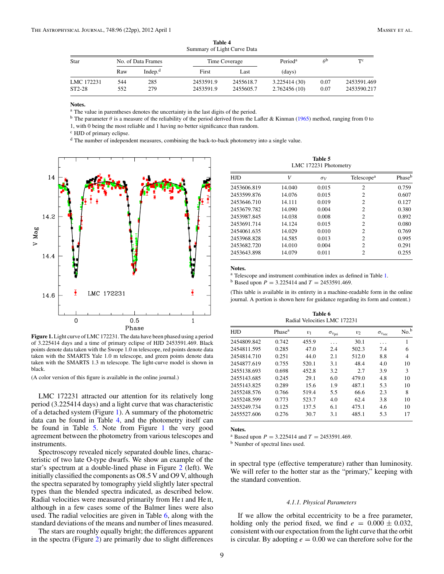| $50$ and $\mu$ of $E_{\rm LSR}$ can be baid. |                    |            |               |           |                     |      |             |  |  |
|----------------------------------------------|--------------------|------------|---------------|-----------|---------------------|------|-------------|--|--|
| Star                                         | No. of Data Frames |            | Time Coverage |           | Period <sup>a</sup> | AÞ   | TС          |  |  |
|                                              | Raw                | Indep. $d$ | First         | Last      | (days)              |      |             |  |  |
| LMC 172231                                   | 544                | 285        | 2453591.9     | 2455618.7 | 3.225414 (30)       | 0.07 | 2453591.469 |  |  |
| ST2-28                                       | 552                | 279        | 2453591.9     | 2455605.7 | 2.762456(10)        | 0.07 | 2453590.217 |  |  |
|                                              |                    |            |               |           |                     |      |             |  |  |

**Table 4** Summary of Light Curve Data

**Notes.**

<sup>a</sup> The value in parentheses denotes the uncertainty in the last digits of the period.

<sup>b</sup> The parameter  $\theta$  is a measure of the reliability of the period derived from the Lafler & Kinman (1965) method, ranging from 0 to

1, with 0 being the most reliable and 1 having no better significance than random.

<sup>c</sup> HJD of primary eclipse.

<sup>d</sup> The number of independent measures, combining the back-to-back photometry into a single value.



**Figure 1.** Light curve of LMC 172231. The data have been phased using a period of 3.225414 days and a time of primary eclipse of HJD 2453591.469. Black points denote data taken with the Swope 1.0 m telescope, red points denote data taken with the SMARTS Yale 1.0 m telescope, and green points denote data taken with the SMARTS 1.3 m telescope. The light-curve model is shown in black.

(A color version of this figure is available in the online journal.)

LMC 172231 attracted our attention for its relatively long period (3.225414 days) and a light curve that was characteristic of a detached system (Figure 1). A summary of the photometric data can be found in Table 4, and the photometry itself can be found in Table 5. Note from Figure 1 the very good agreement between the photometry from various telescopes and instruments.

Spectroscopy revealed nicely separated double lines, characteristic of two late O-type dwarfs. We show an example of the star's spectrum at a double-lined phase in Figure 2 (left). We initially classified the components as O8.5 V and O9 V, although the spectra separated by tomography yield slightly later spectral types than the blended spectra indicated, as described below. Radial velocities were measured primarily from He<sub>I</sub> and He<sub>II</sub>, although in a few cases some of the Balmer lines were also used. The radial velocities are given in Table 6, along with the standard deviations of the means and number of lines measured.

The stars are roughly equally bright; the differences apparent in the spectra (Figure 2) are primarily due to slight differences

| Table 5 |  |                       |  |  |  |  |
|---------|--|-----------------------|--|--|--|--|
|         |  | LMC 172231 Photometry |  |  |  |  |

| <b>HJD</b>  | V      | $\sigma_V$ | Telescope <sup>a</sup> | Phase <sup>b</sup> |
|-------------|--------|------------|------------------------|--------------------|
| 2453606.819 | 14.040 | 0.015      | $\overline{c}$         | 0.759              |
| 2453599.876 | 14.076 | 0.015      | $\overline{c}$         | 0.607              |
| 2453646.710 | 14.111 | 0.019      | $\overline{c}$         | 0.127              |
| 2453679.782 | 14.090 | 0.004      | $\overline{c}$         | 0.380              |
| 2453987.845 | 14.038 | 0.008      | $\overline{c}$         | 0.892              |
| 2453691.714 | 14.124 | 0.015      | $\overline{c}$         | 0.080              |
| 2454061.635 | 14.029 | 0.010      | $\overline{c}$         | 0.769              |
| 2453968.828 | 14.585 | 0.013      | $\overline{c}$         | 0.995              |
| 2453682.720 | 14.010 | 0.004      | $\overline{c}$         | 0.291              |
| 2453643.898 | 14.079 | 0.011      | $\overline{c}$         | 0.255              |

**Notes.**

<sup>a</sup> Telescope and instrument combination index as defined in Table 1.

<sup>b</sup> Based upon  $P = 3.225414$  and  $T = 2453591.469$ .

(This table is available in its entirety in a machine-readable form in the online journal. A portion is shown here for guidance regarding its form and content.)

**Table 6** Radial Velocities LMC 172231

| <b>HJD</b>  | Phase <sup>a</sup> | $v_1$ | $\sigma_{v_{\rm pri}}$ | $v_2$ | $\sigma_{v_{\rm sec}}$ | No. <sup>b</sup> |
|-------------|--------------------|-------|------------------------|-------|------------------------|------------------|
| 2454809.842 | 0.742              | 455.9 |                        | 30.1  |                        |                  |
| 2454811.595 | 0.285              | 47.0  | 2.4                    | 502.3 | 7.4                    | 6                |
| 2454814.710 | 0.251              | 44.0  | 2.1                    | 512.0 | 8.8                    | 4                |
| 2454877.619 | 0.755              | 520.1 | 3.1                    | 48.4  | 4.0                    | 10               |
| 2455138.693 | 0.698              | 452.8 | 3.2                    | 2.7   | 3.9                    | 3                |
| 2455143.685 | 0.245              | 29.1  | 6.0                    | 479.0 | 4.8                    | 10               |
| 2455143.825 | 0.289              | 15.6  | 1.9                    | 487.1 | 5.3                    | 10               |
| 2455248.576 | 0.766              | 519.4 | 5.5                    | 66.6  | 2.3                    | 8                |
| 2455248.599 | 0.773              | 523.7 | 4.0                    | 62.4  | 3.8                    | 10               |
| 2455249.734 | 0.125              | 137.5 | 6.1                    | 475.1 | 4.6                    | 10               |
| 2455527.606 | 0.276              | 30.7  | 3.1                    | 485.1 | 5.3                    | 17               |
|             |                    |       |                        |       |                        |                  |

**Notes.**

<sup>a</sup> Based upon  $P = 3.225414$  and  $T = 2453591.469$ .<br><sup>b</sup> Number of spectral lines used.

in spectral type (effective temperature) rather than luminosity. We will refer to the hotter star as the "primary," keeping with the standard convention.

## *4.1.1. Physical Parameters*

If we allow the orbital eccentricity to be a free parameter, holding only the period fixed, we find  $e = 0.000 \pm 0.032$ , consistent with our expectation from the light curve that the orbit is circular. By adopting  $e = 0.00$  we can therefore solve for the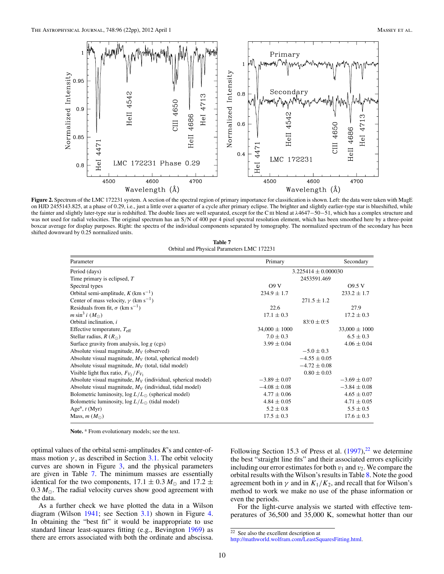

Figure 2. Spectrum of the LMC 172231 system. A section of the spectral region of primary importance for classification is shown. Left: the data were taken with MagE on HJD 2455143.825, at a phase of 0.29, i.e., just a little over a quarter of a cycle after primary eclipse. The brighter and slightly earlier-type star is blueshifted, while the fainter and slightly later-type star is redshifted. The double lines are well separated, except for the C<sub>III</sub> blend at  $\lambda$ 4647−50−51, which has a complex structure and was not used for radial velocities. The original spectrum has an S/N of 400 per 4 pixel spectral resolution element, which has been smoothed here by a three-point boxcar average for display purposes. Right: the spectra of the individual components separated by tomography. The normalized spectrum of the secondary has been shifted downward by 0.25 normalized units.

| Table 7                                    |  |  |  |  |  |
|--------------------------------------------|--|--|--|--|--|
| Orbital and Physical Parameters LMC 172231 |  |  |  |  |  |

| Parameter                                                      | Primary           |                         | Secondary         |
|----------------------------------------------------------------|-------------------|-------------------------|-------------------|
| Period (days)                                                  |                   | $3.225414 \pm 0.000030$ |                   |
| Time primary is eclipsed, $T$                                  |                   | 2453591.469             |                   |
| Spectral types                                                 | O9V               |                         | 09.5V             |
| Orbital semi-amplitude, $K$ (km s <sup>-1</sup> )              | $234.9 \pm 1.7$   |                         | $233.2 \pm 1.7$   |
| Center of mass velocity, $\gamma$ (km s <sup>-1</sup> )        |                   | $271.5 \pm 1.2$         |                   |
| Residuals from fit, $\sigma$ (km s <sup>-1</sup> )             | 22.6              |                         | 27.9              |
| $m \sin^3 i (M_{\odot})$                                       | $17.1 \pm 0.3$    |                         | $17.2 \pm 0.3$    |
| Orbital inclination, i                                         |                   | $83^{\circ}0 \pm 0.5$   |                   |
| Effective temperature, $T_{\text{eff}}$                        | $34,000 \pm 1000$ |                         | $33,000 \pm 1000$ |
| Stellar radius, $R(R_{\odot})$                                 | $7.0 \pm 0.3$     |                         | $6.5 \pm 0.3$     |
| Surface gravity from analysis, $\log g$ (cgs)                  | $3.99 \pm 0.04$   |                         | $4.06 \pm 0.04$   |
| Absolute visual magnitude, $M_V$ (observed)                    |                   | $-5.0 \pm 0.3$          |                   |
| Absolute visual magnitude, $M_V$ (total, spherical model)      |                   | $-4.55 \pm 0.05$        |                   |
| Absolute visual magnitude, $M_V$ (total, tidal model)          |                   | $-4.72 \pm 0.08$        |                   |
| Visible light flux ratio, $F_{V_2}/F_{V_1}$                    |                   | $0.80 \pm 0.03$         |                   |
| Absolute visual magnitude, $M_V$ (individual, spherical model) | $-3.89 \pm 0.07$  |                         | $-3.69 \pm 0.07$  |
| Absolute visual magnitude, $M_V$ (individual, tidal model)     | $-4.08 \pm 0.08$  |                         | $-3.84 \pm 0.08$  |
| Bolometric luminosity, $log L/L_{\odot}$ (spherical model)     | $4.77 \pm 0.06$   |                         | $4.65 \pm 0.07$   |
| Bolometric luminosity, $\log L/L_{\odot}$ (tidal model)        | $4.84 \pm 0.05$   |                         | $4.71 \pm 0.05$   |
| Age <sup>a</sup> , $t$ (Myr)                                   | $5.2 \pm 0.8$     |                         | $5.5 \pm 0.5$     |
| Mass, $m(M_{\odot})$                                           | $17.5 \pm 0.3$    |                         | $17.6 \pm 0.3$    |

Note.<sup>a</sup> From evolutionary models; see the text.

optimal values of the orbital semi-amplitudes *K*'s and center-ofmass motion  $\gamma$ , as described in Section 3.1. The orbit velocity curves are shown in Figure 3, and the physical parameters are given in Table 7. The minimum masses are essentially identical for the two components,  $17.1 \pm 0.3 M_{\odot}$  and  $17.2 \pm$ 0.3  $M_{\odot}$ . The radial velocity curves show good agreement with the data.

As a further check we have plotted the data in a Wilson diagram (Wilson 1941; see Section 3.1) shown in Figure 4. In obtaining the "best fit" it would be inappropriate to use standard linear least-squares fitting (e.g., Bevington 1969) as there are errors associated with both the ordinate and abscissa.

Following Section 15.3 of Press et al.  $(1997)$ ,<sup>22</sup> we determine the best "straight line fits" and their associated errors explicitly including our error estimates for both  $v_1$  and  $v_2$ . We compare the orbital results with the Wilson's results in Table 8. Note the good agreement both in  $\gamma$  and in  $K_1/K_2$ , and recall that for Wilson's method to work we make no use of the phase information or even the periods.

For the light-curve analysis we started with effective temperatures of 36,500 and 35,000 K, somewhat hotter than our

<sup>22</sup> See also the excellent description at

http://mathworld.wolfram.com/LeastSquaresFitting.html.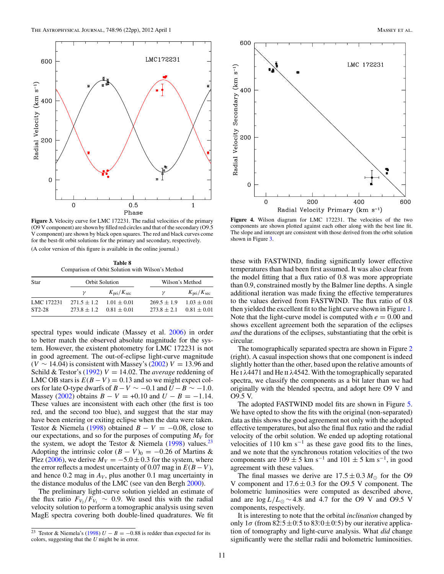

**Figure 3.** Velocity curve for LMC 172231. The radial velocities of the primary (O9 V component) are shown by filled red circles and that of the secondary (O9.5 V component) are shown by black open squares. The red and black curves come for the best-fit orbit solutions for the primary and secondary, respectively. (A color version of this figure is available in the online journal.)

**Table 8** Comparison of Orbit Solution with Wilson's Method

| Star                 |                                  | <b>Orbit Solution</b>              | Wilson's Method                  |                                    |  |  |
|----------------------|----------------------------------|------------------------------------|----------------------------------|------------------------------------|--|--|
|                      |                                  | $K_{\rm pri}/K_{\rm sec}$          | $\mathcal V$                     | $K_{\rm pri}/K_{\rm sec}$          |  |  |
| LMC 172231<br>ST2-28 | $271.5 \pm 1.2$<br>$273.8 + 1.2$ | $1.01 \pm 0.01$<br>$0.81 \pm 0.01$ | $269.5 \pm 1.9$<br>$273.8 + 2.1$ | $1.03 \pm 0.01$<br>$0.81 \pm 0.01$ |  |  |

spectral types would indicate (Massey et al. 2006) in order to better match the observed absolute magnitude for the system. However, the existent photometry for LMC 172231 is not in good agreement. The out-of-eclipse light-curve magnitude  $(V \sim 14.04)$  is consistent with Massey's (2002)  $V = 13.96$  and Schild & Testor's (1992)  $V = 14.02$ . The *average* reddening of LMC OB stars is  $E(B - V) = 0.13$  and so we might expect colors for late O-type dwarfs of  $B - V \sim -0.1$  and  $U - B \sim -1.0$ . Massey (2002) obtains  $B - V = +0.10$  and  $U - B = -1.14$ . These values are inconsistent with each other (the first is too red, and the second too blue), and suggest that the star may have been entering or exiting eclipse when the data were taken. Testor & Niemela (1998) obtained  $B - V = -0.08$ , close to our expectations, and so for the purposes of computing  $M_V$  for the system, we adopt the Testor & Niemela  $(1998)$  values.<sup>23</sup> Adopting the intrinsic color  $(B - V)_0 = -0.26$  of Martins & Plez (2006), we derive  $M_V = -5.0 \pm 0.3$  for the system, where the error reflects a modest uncertainty of 0.07 mag in  $E(B-V)$ , and hence  $0.2$  mag in  $A_V$ , plus another  $0.1$  mag uncertainty in the distance modulus of the LMC (see van den Bergh 2000).

The preliminary light-curve solution yielded an estimate of the flux ratio  $F_{V_2}/F_{V_1} \sim 0.9$ . We used this with the radial velocity solution to perform a tomographic analysis using seven MagE spectra covering both double-lined quadratures. We fit



**Figure 4.** Wilson diagram for LMC 172231. The velocities of the two components are shown plotted against each other along with the best line fit. The slope and intercept are consistent with those derived from the orbit solution shown in Figure 3.

these with FASTWIND, finding significantly lower effective temperatures than had been first assumed. It was also clear from the model fitting that a flux ratio of 0.8 was more appropriate than 0.9, constrained mostly by the Balmer line depths. A single additional iteration was made fixing the effective temperatures to the values derived from FASTWIND. The flux ratio of 0.8 then yielded the excellent fit to the light curve shown in Figure 1. Note that the light-curve model is computed with  $e = 0.00$  and shows excellent agreement both the separation of the eclipses *and* the durations of the eclipses, substantiating that the orbit is circular.

The tomographically separated spectra are shown in Figure 2 (right). A casual inspection shows that one component is indeed slightly hotter than the other, based upon the relative amounts of He I λ4471 and He II λ4542. With the tomographically separated spectra, we classify the components as a bit later than we had originally with the blended spectra, and adopt here O9 V and O9.5 V.

The adopted FASTWIND model fits are shown in Figure 5. We have opted to show the fits with the original (non-separated) data as this shows the good agreement not only with the adopted effective temperatures, but also the final flux ratio and the radial velocity of the orbit solution. We ended up adopting rotational velocities of 110 km s<sup> $-1$ </sup> as these gave good fits to the lines, and we note that the synchronous rotation velocities of the two components are  $109 \pm 5$  km s<sup>-1</sup> and  $101 \pm 5$  km s<sup>-1</sup>, in good agreement with these values.

The final masses we derive are  $17.5 \pm 0.3 M_{\odot}$  for the O9 V component and  $17.6 \pm 0.3$  for the O9.5 V component. The bolometric luminosities were computed as described above, and are  $\log L/L_{\odot} \sim 4.8$  and 4.7 for the O9 V and O9.5 V components, respectively.

It is interesting to note that the orbital *inclination* changed by only  $1\sigma$  (from  $82^\circ.5 \pm 0.5$  to  $83^\circ.0 \pm 0.5$ ) by our iterative application of tomography and light-curve analysis. What *did* change significantly were the stellar radii and bolometric luminosities.

<sup>&</sup>lt;sup>23</sup> Testor & Niemela's (1998)  $U - B = -0.88$  is redder than expected for its colors, suggesting that the *U* might be in error.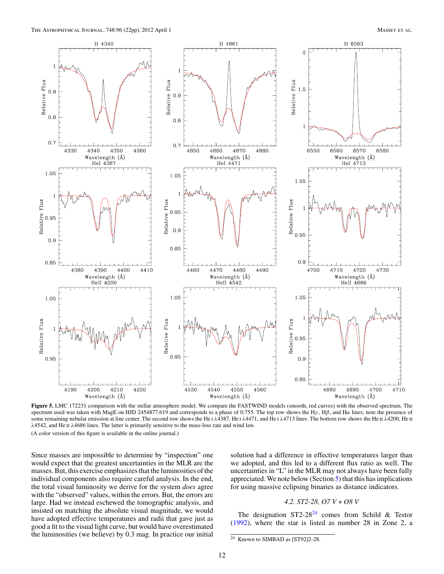

Figure 5. LMC 172231 comparison with the stellar atmosphere model. We compare the FASTWIND models (smooth, red curves) with the observed spectrum. The spectrum used was taken with MagE on HJD 2454877.619 and corresponds to a phase of 0.755. The top row shows the H $\gamma$ , H $\beta$ , and H $\alpha$  lines; note the presence of some remaining nebular emission at line center. The second row shows the He i λ4387, He i λ4471, and He i λ4713 lines. The bottom row shows the He π λ4200, He π  $\lambda$ 4542, and He II  $\lambda$ 4686 lines. The latter is primarily sensitive to the mass-loss rate and wind law.

Since masses are impossible to determine by "inspection" one would expect that the greatest uncertainties in the MLR are the masses. But, this exercise emphasizes that the luminosities of the individual components also require careful analysis. In the end, the total visual luminosity we derive for the system *does* agree with the "observed" values, within the errors. But, the errors are large. Had we instead eschewed the tomographic analysis, and insisted on matching the absolute visual magnitude, we would have adopted effective temperatures and radii that gave just as good a fit to the visual light curve, but would have overestimated the luminosities (we believe) by 0.3 mag. In practice our initial

solution had a difference in effective temperatures larger than we adopted, and this led to a different flux ratio as well. The uncertainties in "L" in the MLR may not always have been fully appreciated. We note below (Section 5) that this has implications for using massive eclipsing binaries as distance indicators.

# *4.2. ST2-28, O7 V + O8 V*

The designation  $ST2-28^{24}$  comes from Schild & Testor (1992), where the star is listed as number 28 in Zone 2, a

 $24$  Known to SIMBAD as [ST92]2-28.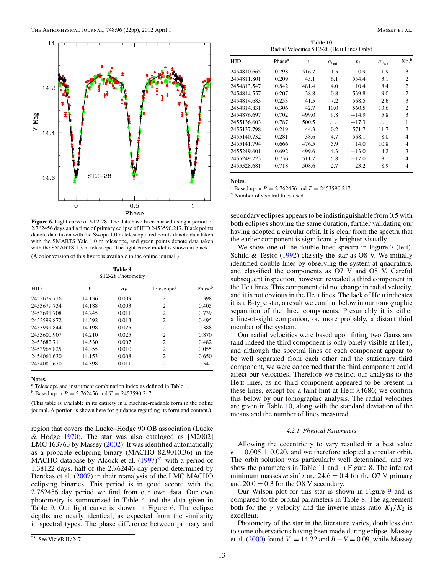

**Figure 6.** Light curve of ST2-28. The data have been phased using a period of 2.762456 days and a time of primary eclipse of HJD 2453590.217. Black points denote data taken with the Swope 1.0 m telescope, red points denote data taken with the SMARTS Yale 1.0 m telescope, and green points denote data taken with the SMARTS 1.3 m telescope. The light-curve model is shown in black.

**Table 9** ST2-28 Photometry

| <b>HJD</b>  | V      | $\sigma_V$ | Telescope <sup>a</sup> | Phase <sup>b</sup> |
|-------------|--------|------------|------------------------|--------------------|
| 2453679.716 | 14.136 | 0.009      | $\overline{c}$         | 0.398              |
| 2453679.734 | 14.188 | 0.003      | 2                      | 0.405              |
| 2453691.708 | 14.245 | 0.011      | 2                      | 0.739              |
| 2453599.872 | 14.592 | 0.013      | 2                      | 0.495              |
| 2453991.844 | 14.198 | 0.025      | 2                      | 0.388              |
| 2453600.907 | 14.210 | 0.025      | 2                      | 0.870              |
| 2453682.711 | 14.530 | 0.007      | $\overline{c}$         | 0.482              |
| 2453968.825 | 14.355 | 0.010      | $\overline{c}$         | 0.055              |
| 2454061.630 | 14.153 | 0.008      | $\overline{c}$         | 0.650              |
| 2454080.670 | 14.398 | 0.011      | $\overline{c}$         | 0.542              |

## **Notes.**

<sup>a</sup> Telescope and instrument combination index as defined in Table 1.

<sup>b</sup> Based upon  $P = 2.762456$  and  $T = 2453590.217$ .

(This table is available in its entirety in a machine-readable form in the online journal. A portion is shown here for guidance regarding its form and content.)

region that covers the Lucke–Hodge 90 OB association (Lucke & Hodge 1970). The star was also cataloged as [M2002] LMC 163763 by Massey (2002). It was identified automatically as a probable eclipsing binary (MACHO 82.9010.36) in the MACHO database by Alcock et al.  $(1997)^{25}$  with a period of 1.38122 days, half of the 2.762446 day period determined by Derekas et al. (2007) in their reanalysis of the LMC MACHO eclipsing binaries. This period is in good accord with the 2.762456 day period we find from our own data. Our own photometry is summarized in Table 4 and the data given in Table 9. Our light curve is shown in Figure 6. The eclipse depths are nearly identical, as expected from the similarity in spectral types. The phase difference between primary and

**Table 10** Radial Velocities ST2-28 (He II Lines Only)

| <b>HJD</b>  | Phase <sup>a</sup> | $v_1$ | $\sigma_{v_{\text{pri}}}$ | $v_2$   | $\sigma_{v_{\rm sec}}$ | No. <sup>b</sup> |
|-------------|--------------------|-------|---------------------------|---------|------------------------|------------------|
| 2454810.665 | 0.798              | 516.7 | 1.5                       | $-0.9$  | 1.9                    | 3                |
| 2454811.801 | 0.209              | 45.1  | 6.1                       | 554.4   | 3.1                    | $\overline{c}$   |
| 2454813.547 | 0.842              | 481.4 | 4.0                       | 10.4    | 8.4                    | $\overline{c}$   |
| 2454814.557 | 0.207              | 38.8  | 0.8                       | 539.8   | 9.0                    | $\overline{2}$   |
| 2454814.683 | 0.253              | 41.5  | 7.2                       | 568.5   | 2.6                    | 3                |
| 2454814.831 | 0.306              | 42.7  | 10.0                      | 560.5   | 13.6                   | $\overline{2}$   |
| 2454876.697 | 0.702              | 499.0 | 9.8                       | $-14.9$ | 5.8                    | 3                |
| 2455136.603 | 0.787              | 500.5 |                           | $-17.3$ | .                      | 1                |
| 2455137.798 | 0.219              | 44.3  | 0.2                       | 571.7   | 11.7                   | $\overline{c}$   |
| 2455140.732 | 0.281              | 38.6  | 4.7                       | 568.1   | 8.0                    | $\overline{4}$   |
| 2455141.794 | 0.666              | 476.5 | 5.9                       | 14.0    | 10.8                   | $\overline{4}$   |
| 2455249.601 | 0.692              | 499.6 | 4.3                       | $-13.0$ | 4.2                    | 3                |
| 2455249.723 | 0.736              | 511.7 | 5.8                       | $-17.0$ | 8.1                    | 4                |
| 2455528.681 | 0.718              | 508.6 | 2.7                       | $-23.2$ | 8.9                    | 4                |

**Notes.**

<sup>a</sup> Based upon  $P = 2.762456$  and  $T = 2453590.217$ .<br><sup>b</sup> Number of spectral lines used.

secondary eclipses appears to be indistinguishable from 0.5 with both eclipses showing the same duration, further validating our having adopted a circular orbit. It is clear from the spectra that the earlier component is significantly brighter visually.

We show one of the double-lined spectra in Figure 7 (left). Schild & Testor (1992) classify the star as O8 V. We initially identified double lines by observing the system at quadrature, and classified the components as O7 V and O8 V. Careful subsequent inspection, however, revealed a third component in the He i lines. This component did not change in radial velocity, and it is not obvious in the He II lines. The lack of He II indicates it is a B-type star, a result we confirm below in our tomographic separation of the three components. Presumably it is either a line-of-sight companion, or, more probably, a distant third member of the system.

Our radial velocities were based upon fitting two Gaussians (and indeed the third component is only barely visible at He i), and although the spectral lines of each component appear to be well separated from each other and the stationary third component, we were concerned that the third component could affect our velocities. Therefore we restrict our analysis to the He II lines, as no third component appeared to be present in these lines, except for a faint hint at He  $II$   $\lambda$ 4686; we confirm this below by our tomographic analysis. The radial velocities are given in Table 10, along with the standard deviation of the means and the number of lines measured.

#### *4.2.1. Physical Parameters*

Allowing the eccentricity to vary resulted in a best value  $e = 0.005 \pm 0.020$ , and we therefore adopted a circular orbit. The orbit solution was particularly well determined, and we show the parameters in Table 11 and in Figure 8. The inferred minimum masses *m* sin<sup>3</sup> i are 24.6  $\pm$  0.4 for the O7 V primary and  $20.0 \pm 0.3$  for the O8 V secondary.

Our Wilson plot for this star is shown in Figure 9 and is compared to the orbital parameters in Table 8. The agreement both for the  $\gamma$  velocity and the inverse mass ratio  $K_1/K_2$  is excellent.

Photometry of the star in the literature varies, doubtless due to some observations having been made during eclipse. Massey et al. (2000) found  $V = 14.22$  and  $B - V = 0.09$ , while Massey

 $\overline{^{25}}$  See VizieR II/247.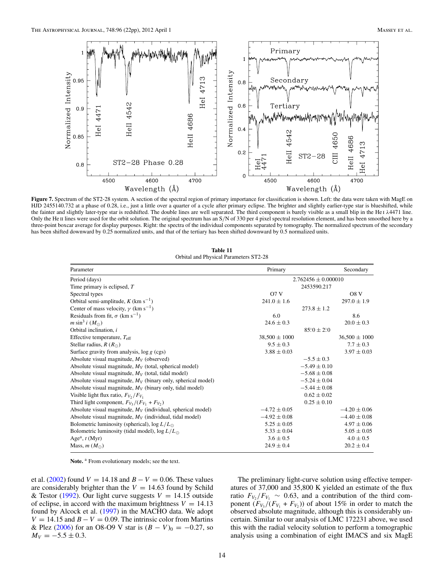

Figure 7. Spectrum of the ST2-28 system. A section of the spectral region of primary importance for classification is shown. Left: the data were taken with MagE on HJD 2455140.732 at a phase of 0.28, i.e., just a little over a quarter of a cycle after primary eclipse. The brighter and slightly earlier-type star is blueshifted, while the fainter and slightly later-type star is redshifted. The double lines are well separated. The third component is barely visible as a small blip in the He I λ4471 line. Only the He II lines were used for the orbit solution. The original spectrum has an S/N of 330 per 4 pixel spectral resolution element, and has been smoothed here by a three-point boxcar average for display purposes. Right: the spectra of the individual components separated by tomography. The normalized spectrum of the secondary has been shifted downward by 0.25 normalized units, and that of the tertiary has been shifted downward by 0.5 normalized units.

| Table 11 |  |  |                                        |  |  |  |
|----------|--|--|----------------------------------------|--|--|--|
|          |  |  | Orbital and Physical Parameters ST2-28 |  |  |  |

| Parameter                                                       | Primary                 |                              | Secondary         |
|-----------------------------------------------------------------|-------------------------|------------------------------|-------------------|
| Period (days)                                                   | $2.762456 \pm 0.000010$ |                              |                   |
| Time primary is eclipsed, $T$                                   |                         | 2453590.217                  |                   |
| Spectral types                                                  | O7V                     |                              | O8 <sub>V</sub>   |
| Orbital semi-amplitude, $K$ (km s <sup>-1</sup> )               | $241.0 \pm 1.6$         |                              | $297.0 \pm 1.9$   |
| Center of mass velocity, $\gamma$ (km s <sup>-1</sup> )         |                         | $273.8 \pm 1.2$              |                   |
| Residuals from fit, $\sigma$ (km s <sup>-1</sup> )              | 6.0                     |                              | 8.6               |
| $m \sin^3 i (M_{\odot})$                                        | $24.6 \pm 0.3$          |                              | $20.0 \pm 0.3$    |
| Orbital inclination, i                                          |                         | $85^{\circ}0 \pm 2^{\circ}0$ |                   |
| Effective temperature, $T_{\text{eff}}$                         | $38,500 \pm 1000$       |                              | $36,500 \pm 1000$ |
| Stellar radius, $R(R_{\odot})$                                  | $9.5 \pm 0.3$           |                              | $7.7 \pm 0.3$     |
| Surface gravity from analysis, $\log g$ (cgs)                   | $3.88 \pm 0.03$         |                              | $3.97 \pm 0.03$   |
| Absolute visual magnitude, $M_V$ (observed)                     |                         | $-5.5 \pm 0.3$               |                   |
| Absolute visual magnitude, $M_V$ (total, spherical model)       |                         | $-5.49 \pm 0.10$             |                   |
| Absolute visual magnitude, $M_V$ (total, tidal model)           |                         | $-5.68 \pm 0.08$             |                   |
| Absolute visual magnitude, $M_V$ (binary only, spherical model) |                         | $-5.24 \pm 0.04$             |                   |
| Absolute visual magnitude, $M_V$ (binary only, tidal model)     |                         | $-5.44 \pm 0.08$             |                   |
| Visible light flux ratio, $F_{V_2}/F_{V_1}$                     |                         | $0.62 \pm 0.02$              |                   |
| Third light component, $F_{V_3}/(F_{V_1} + F_{V_2})$            |                         | $0.25 \pm 0.10$              |                   |
| Absolute visual magnitude, $M_V$ (individual, spherical model)  | $-4.72 \pm 0.05$        |                              | $-4.20 \pm 0.06$  |
| Absolute visual magnitude, $M_V$ (individual, tidal model)      | $-4.92 \pm 0.08$        |                              | $-4.40 \pm 0.08$  |
| Bolometric luminosity (spherical), $\log L/L_{\odot}$           | $5.25 \pm 0.05$         |                              | $4.97 \pm 0.06$   |
| Bolometric luminosity (tidal model), $\log L/L_{\odot}$         | $5.33 \pm 0.04$         |                              | $5.05 \pm 0.05$   |
| Age <sup>a</sup> , $t$ (Myr)                                    | $3.6 \pm 0.5$           |                              | $4.0 \pm 0.5$     |
| Mass, $m(M_{\odot})$                                            | $24.9 \pm 0.4$          |                              | $20.2 \pm 0.4$    |

Note.<sup>a</sup> From evolutionary models; see the text.

et al. (2002) found  $V = 14.18$  and  $B - V = 0.06$ . These values are considerably brighter than the  $V = 14.63$  found by Schild & Testor (1992). Our light curve suggests  $V = 14.15$  outside of eclipse, in accord with the maximum brightness  $V = 14.13$ found by Alcock et al. (1997) in the MACHO data. We adopt  $V = 14.15$  and  $B - V = 0.09$ . The intrinsic color from Martins & Plez (2006) for an O8-O9 V star is  $(B - V)_0 = -0.27$ , so  $M_V = -5.5 \pm 0.3$ .

The preliminary light-curve solution using effective temperatures of 37,000 and 35,800 K yielded an estimate of the flux ratio  $F_{V_2}/F_{V_1} \sim 0.63$ , and a contribution of the third component  $(F_{V_3}/(F_{V_1} + F_{V_2}))$  of about 15% in order to match the observed absolute magnitude, although this is considerably uncertain. Similar to our analysis of LMC 172231 above, we used this with the radial velocity solution to perform a tomographic analysis using a combination of eight IMACS and six MagE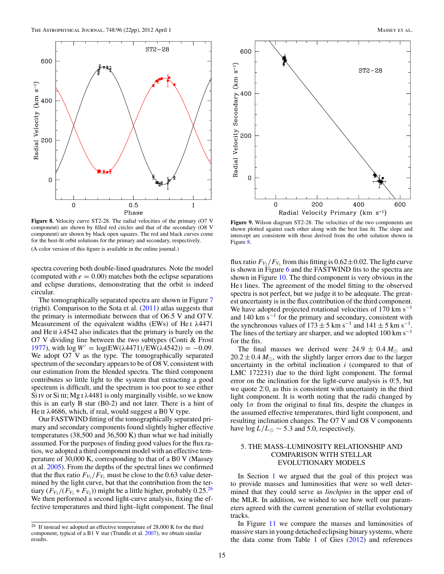

**Figure 8.** Velocity curve ST2-28. The radial velocities of the primary (O7 V component) are shown by filled red circles and that of the secondary (O8 V component) are shown by black open squares. The red and black curves come for the best-fit orbit solutions for the primary and secondary, respectively. (A color version of this figure is available in the online journal.)

spectra covering both double-lined quadratures. Note the model (computed with  $e = 0.00$ ) matches both the eclipse separations and eclipse durations, demonstrating that the orbit is indeed circular.

The tomographically separated spectra are shown in Figure 7 (right). Comparison to the Sota et al.  $(2011)$  atlas suggests that the primary is intermediate between that of O6.5 V and O7 V. Measurement of the equivalent widths (EWs) of He<sub>I</sub>  $\lambda$ 4471 and He  $\text{II}$   $\lambda$ 4542 also indicates that the primary is barely on the O7 V dividing line between the two subtypes (Conti & Frost 1977), with  $\log W' = \log(EW(\lambda 4471)/EW(\lambda 4542)) = -0.09$ . We adopt O7 V as the type. The tomographically separated spectrum of the secondary appears to be of O8 V, consistent with our estimation from the blended spectra. The third component contributes so little light to the system that extracting a good spectrum is difficult, and the spectrum is too poor to see either Si IV or Si III; Mg I  $\lambda$ 4481 is only marginally visible, so we know this is an early B star (B0-2) and not later. There is a hint of He  $\pi$   $\lambda$ 4686, which, if real, would suggest a B0 V type.

Our FASTWIND fitting of the tomographically separated primary and secondary components found slightly higher effective temperatures (38,500 and 36,500 K) than what we had initially assumed. For the purposes of finding good values for the flux ratios, we adopted a third component model with an effective temperature of 30,000 K, corresponding to that of a B0 V (Massey et al. 2005). From the depths of the spectral lines we confirmed that the flux ratio  $F_{V_2}/F_{V_1}$  must be close to the 0.63 value determined by the light curve, but that the contribution from the tertiary  $(F_{V_3}/(F_{V_1}+F_{V_2}))$  might be a little higher, probably 0.25.<sup>26</sup> We then performed a second light-curve analysis, fixing the effective temperatures and third light–light component. The final



**Figure 9.** Wilson diagram ST2-28. The velocities of the two components are shown plotted against each other along with the best line fit. The slope and intercept are consistent with those derived from the orbit solution shown in Figure 8.

flux ratio  $F_{V_2}/F_{V_1}$  from this fitting is 0.62 $\pm$ 0.02. The light curve is shown in Figure 6 and the FASTWIND fits to the spectra are shown in Figure 10. The third component is very obvious in the He I lines. The agreement of the model fitting to the observed spectra is not perfect, but we judge it to be adequate. The greatest uncertainty is in the flux contribution of the third component. We have adopted projected rotational velocities of 170 km s<sup> $-1$ </sup> and 140 km s−<sup>1</sup> for the primary and secondary, consistent with the synchronous values of  $173 \pm 5$  km s<sup>-1</sup> and  $141 \pm 5$  km s<sup>-1</sup>. The lines of the tertiary are sharper, and we adopted  $100 \text{ km s}^{-1}$ for the fits.

The final masses we derived were  $24.9 \pm 0.4 M_{\odot}$  and  $20.2 \pm 0.4 M_{\odot}$ , with the slightly larger errors due to the larger uncertainty in the orbital inclination *i* (compared to that of LMC 172231) due to the third light component. The formal error on the inclination for the light-curve analysis is  $0^\circ$ 5, but we quote 2.0, as this is consistent with uncertainty in the third light component. It is worth noting that the radii changed by only  $1\sigma$  from the original to final fits, despite the changes in the assumed effective temperatures, third light component, and resulting inclination changes. The O7 V and O8 V components have log  $L/L_{\odot} \sim 5.3$  and 5.0, respectively.

# 5. THE MASS–LUMINOSITY RELATIONSHIP AND COMPARISON WITH STELLAR EVOLUTIONARY MODELS

In Section 1 we argued that the goal of this project was to provide masses and luminosities that were so well determined that they could serve as *linchpins* in the upper end of the MLR. In addition, we wished to see how well our parameters agreed with the current generation of stellar evolutionary tracks.

In Figure 11 we compare the masses and luminosities of massive stars in young detached eclipsing binary systems, where the data come from Table 1 of Gies (2012) and references

 $26$  If instead we adopted an effective temperature of 28,000 K for the third component, typical of a B1 V star (Trundle et al. 2007), we obtain similar results.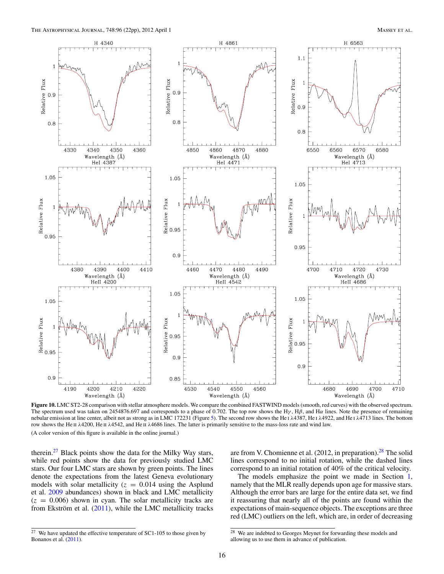

**Figure 10.** LMC ST2-28 comparison with stellar atmosphere models. We compare the combined FASTWIND models (smooth, red curves) with the observed spectrum. The spectrum used was taken on 2454876.697 and corresponds to a phase of 0.702. The top row shows the H<sub>Y</sub>, H<sub>B</sub>, and H $\alpha$  lines. Note the presence of remaining nebular emission at line center, albeit not as strong as in LMC 172231 (Figure 5). The second row shows the He ι λ4387, He ι λ4922, and He ι λ4713 lines. The bottom row shows the He II λ4200, He II λ4542, and He II λ4686 lines. The latter is primarily sensitive to the mass-loss rate and wind law.

therein. $27$  Black points show the data for the Milky Way stars, while red points show the data for previously studied LMC stars. Our four LMC stars are shown by green points. The lines denote the expectations from the latest Geneva evolutionary models with solar metallicity ( $z = 0.014$  using the Asplund et al. 2009 abundances) shown in black and LMC metallicity  $(z = 0.006)$  shown in cyan. The solar metallicity tracks are from Ekström et al.  $(2011)$ , while the LMC metallicity tracks

are from V. Chomienne et al.  $(2012, in preparation)$ .<sup>28</sup> The solid lines correspond to no initial rotation, while the dashed lines correspond to an initial rotation of 40% of the critical velocity.

The models emphasize the point we made in Section 1, namely that the MLR really depends upon age for massive stars. Although the error bars are large for the entire data set, we find it reassuring that nearly all of the points are found within the expectations of main-sequence objects. The exceptions are three red (LMC) outliers on the left, which are, in order of decreasing

 $27$  We have updated the effective temperature of SC1-105 to those given by Bonanos et al. (2011).

<sup>28</sup> We are indebted to Georges Meynet for forwarding these models and allowing us to use them in advance of publication.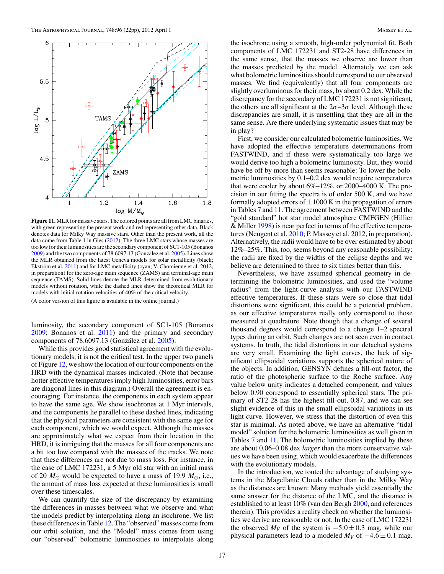

**Figure 11.** MLR for massive stars. The colored points are all from LMC binaries, with green representing the present work and red representing other data. Black denotes data for Milky Way massive stars. Other than the present work, all the data come from Table 1 in Gies (2012). The three LMC stars whose masses are too low for their luminosities are the secondary component of SC1-105 (Bonanos  $2009$ ) and the two components of 78.6097.13 (González et al.  $2005$ ). Lines show the MLR obtained from the latest Geneva models for solar metallicity (black; Ekström et al. 2011) and for LMC metallicity (cyan; V. Chomienne et al. 2012, in preparation) for the zero-age main sequence (ZAMS) and terminal-age main sequence (TAMS). Solid lines denote the MLR determined from evolutionary models without rotation, while the dashed lines show the theoretical MLR for models with initial rotation velocities of 40% of the critical velocity.

luminosity, the secondary component of SC1-105 (Bonanos 2009; Bonanos et al. 2011) and the primary and secondary components of  $78.6097.13$  (González et al.  $2005$ ).

While this provides good statistical agreement with the evolutionary models, it is not the critical test. In the upper two panels of Figure 12, we show the location of our four components on the HRD with the dynamical masses indicated. (Note that because hotter effective temperatures imply high luminosities, error bars are diagonal lines in this diagram.) Overall the agreement is encouraging. For instance, the components in each system appear to have the same age. We show isochrones at 1 Myr intervals, and the components lie parallel to these dashed lines, indicating that the physical parameters are consistent with the same age for each component, which we would expect. Although the masses are approximately what we expect from their location in the HRD, it is intriguing that the masses for all four components are a bit too low compared with the masses of the tracks. We note that these differences are not due to mass loss. For instance, in the case of LMC 172231, a 5 Myr old star with an initial mass of 20  $M_{\odot}$  would be expected to have a mass of 19.9  $M_{\odot}$ , i.e., the amount of mass loss expected at these luminosities is small over these timescales.

We can quantify the size of the discrepancy by examining the differences in masses between what we observe and what the models predict by interpolating along an isochrone. We list these differences in Table 12. The "observed" masses come from our orbit solution, and the "Model" mass comes from using our "observed" bolometric luminosities to interpolate along

the isochrone using a smooth, high-order polynomial fit. Both components of LMC 172231 and ST2-28 have differences in the same sense, that the masses we observe are lower than the masses predicted by the model. Alternately we can ask what bolometric luminosities should correspond to our observed masses. We find (equivalently) that all four components are slightly overluminous for their mass, by about 0.2 dex. While the discrepancy for the secondary of LMC 172231 is not significant, the others are all significant at the  $2\sigma - 3\sigma$  level. Although these discrepancies are small, it is unsettling that they are all in the same sense. Are there underlying systematic issues that may be in play?

First, we consider our calculated bolometric luminosities. We have adopted the effective temperature determinations from FASTWIND, and if these were systematically too large we would derive too high a bolometric luminosity. But, they would have be off by more than seems reasonable: To lower the bolometric luminosities by 0.1–0.2 dex would require temperatures that were cooler by about 6%–12%, or 2000–4000 K. The precision in our fitting the spectra is of order 500 K, and we have formally adopted errors of  $\pm 1000$  K in the propagation of errors in Tables 7 and 11. The agreement between FASTWIND and the "gold standard" hot star model atmosphere CMFGEN (Hillier & Miller 1998) is near perfect in terms of the effective temperatures (Neugent et al. 2010; P. Massey et al. 2012, in preparation). Alternatively, the radii would have to be over estimated by about 12%–25%. This, too, seems beyond any reasonable possibility: the radii are fixed by the widths of the eclipse depths and we believe are determined to three to six times better than this.

Nevertheless, we have assumed spherical geometry in determining the bolometric luminosities, and used the "volume radius" from the light-curve analysis with our FASTWIND effective temperatures. If these stars were so close that tidal distortions were significant, this could be a potential problem, as our effective temperatures really only correspond to those measured at quadrature. Note though that a change of several thousand degrees would correspond to a change 1–2 spectral types during an orbit. Such changes are not seen even in contact systems. In truth, the tidal distortions in our detached systems are very small. Examining the light curves, the lack of significant ellipsoidal variations supports the spherical nature of the objects. In addition, GENSYN defines a fill-out factor, the ratio of the photospheric surface to the Roche surface. Any value below unity indicates a detached component, and values below 0.90 correspond to essentially spherical stars. The primary of ST2-28 has the highest fill-out, 0.87, and we can see slight evidence of this in the small ellipsoidal variations in its light curve. However, we stress that the distortion of even this star is minimal. As noted above, we have an alternative "tidal model" solution for the bolometric luminosities as well given in Tables 7 and 11. The bolometric luminosities implied by these are about 0.06–0.08 dex *larger* than the more conservative values we have been using, which would exacerbate the differences with the evolutionary models.

In the introduction, we touted the advantage of studying systems in the Magellanic Clouds rather than in the Milky Way as the distances are known: Many methods yield essentially the same answer for the distance of the LMC, and the distance is established to at least 10% (van den Bergh 2000, and references therein). This provides a reality check on whether the luminosities we derive are reasonable or not. In the case of LMC 172231 the observed  $M_V$  of the system is  $-5.0 \pm 0.3$  mag, while our physical parameters lead to a modeled  $M_V$  of  $-4.6 \pm 0.1$  mag.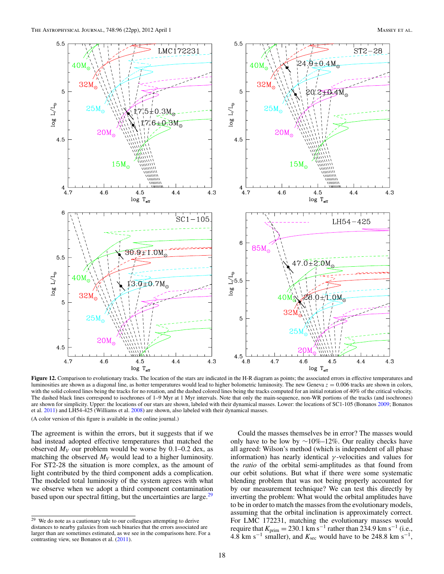

Figure 12. Comparison to evolutionary tracks. The location of the stars are indicated in the H-R diagram as points; the associated errors in effective temperatures and luminosities are shown as a diagonal line, as hotter temperatures would lead to higher bolometric luminosity. The new Geneva  $z = 0.006$  tracks are shown in colors, with the solid colored lines being the tracks for no rotation, and the dashed colored lines being the tracks computed for an initial rotation of 40% of the critical velocity. The dashed black lines correspond to isochrones of 1–9 Myr at 1 Myr intervals. Note that only the main-sequence, non-WR portions of the tracks (and isochrones) are shown for simplicity. Upper: the locations of our stars are shown, labeled with their dynamical masses. Lower: the locations of SC1-105 (Bonanos 2009; Bonanos et al. 2011) and LH54-425 (Williams et al. 2008) are shown, also labeled with their dynamical masses.

The agreement is within the errors, but it suggests that if we had instead adopted effective temperatures that matched the observed  $M_V$  our problem would be worse by 0.1–0.2 dex, as matching the observed  $M_V$  would lead to a higher luminosity. For ST2-28 the situation is more complex, as the amount of light contributed by the third component adds a complication. The modeled total luminosity of the system agrees with what we observe when we adopt a third component contamination based upon our spectral fitting, but the uncertainties are large. $^{29}$ 

Could the masses themselves be in error? The masses would only have to be low by  $\sim$ 10%–12%. Our reality checks have all agreed: Wilson's method (which is independent of all phase information) has nearly identical  $\gamma$ -velocities and values for the *ratio* of the orbital semi-amplitudes as that found from our orbit solutions. But what if there were some systematic blending problem that was not being properly accounted for by our measurement technique? We can test this directly by inverting the problem: What would the orbital amplitudes have to be in order to match the masses from the evolutionary models, assuming that the orbital inclination is approximately correct. For LMC 172231, matching the evolutionary masses would require that  $K_{\text{prim}} = 230.1 \text{ km s}^{-1}$  rather than 234.9 km s<sup>-1</sup> (i.e., 4.8 km s<sup> $-1$ </sup> smaller), and  $K_{\text{sec}}$  would have to be 248.8 km s<sup>-1</sup>,

 $\frac{29}{29}$  We do note as a cautionary tale to our colleagues attempting to derive distances to nearby galaxies from such binaries that the errors associated are larger than are sometimes estimated, as we see in the comparisons here. For a contrasting view, see Bonanos et al. (2011).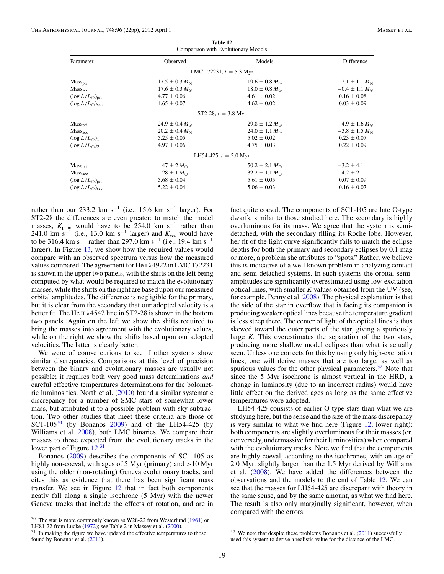| Parameter                      | Observed                 | Models                    | Difference               |
|--------------------------------|--------------------------|---------------------------|--------------------------|
|                                |                          | LMC 172231, $t = 5.3$ Myr |                          |
| Mass <sub>pri</sub>            | $17.5 \pm 0.3 M_{\odot}$ | $19.6 \pm 0.8 M_{\odot}$  | $-2.1 \pm 1.1 M_{\odot}$ |
| Mass <sub>sec</sub>            | $17.6 \pm 0.3 M_{\odot}$ | $18.0 \pm 0.8 M_{\odot}$  | $-0.4 \pm 1.1 M_{\odot}$ |
| $(\log L/L_{\odot})_{\rm pri}$ | $4.77 \pm 0.06$          | $4.61 \pm 0.02$           | $0.16 \pm 0.08$          |
| $(\log L/L_{\odot})_{\rm sec}$ | $4.65 \pm 0.07$          | $4.62 \pm 0.02$           | $0.03 \pm 0.09$          |
|                                |                          | ST2-28, $t = 3.8$ Myr     |                          |
| Mass <sub>pri</sub>            | $24.9 \pm 0.4 M_{\odot}$ | $29.8 \pm 1.2 M_{\odot}$  | $-4.9 \pm 1.6 M_{\odot}$ |
| Masssec                        | $20.2 \pm 0.4 M_{\odot}$ | $24.0 \pm 1.1 M_{\odot}$  | $-3.8 \pm 1.5 M_{\odot}$ |
| $(\log L/L_{\odot})_1$         | $5.25 \pm 0.05$          | $5.02 \pm 0.02$           | $0.23 \pm 0.07$          |
| $(\log L/L_{\odot})_2$         | $4.97 \pm 0.06$          | $4.75 \pm 0.03$           | $0.22 \pm 0.09$          |
|                                |                          | LH54-425, $t = 2.0$ Myr   |                          |
| Mass <sub>pri</sub>            | $47 \pm 2 M_{\odot}$     | $50.2 \pm 2.1 M_{\odot}$  | $-3.2 \pm 4.1$           |
| Mass <sub>sec</sub>            | $28 \pm 1 M_{\odot}$     | $32.2 \pm 1.1 M_{\odot}$  | $-4.2 \pm 2.1$           |
| $(\log L/L_{\odot})_{\rm pri}$ | $5.68 \pm 0.04$          | $5.61 \pm 0.05$           | $0.07 \pm 0.09$          |
| $(\log L/L_{\odot})_{\rm sec}$ | $5.22 \pm 0.04$          | $5.06 \pm 0.03$           | $0.16 \pm 0.07$          |

**Table 12** Comparison with Evolutionary Models

rather than our 233.2 km s<sup>-1</sup> (i.e., 15.6 km s<sup>-1</sup> larger). For ST2-28 the differences are even greater: to match the model masses, *K*<sub>prim</sub> would have to be 254.0 km s<sup>−1</sup> rather than 241.0 km s<sup>-1</sup> (i.e., 13.0 km s<sup>-1</sup> larger) and  $K_{\text{sec}}$  would have to be 316.4 km s<sup>-1</sup> rather than 297.0 km s<sup>-1</sup> (i.e., 19.4 km s<sup>-1</sup>) larger). In Figure 13, we show how the required values would compare with an observed spectrum versus how the measured values compared. The agreement for He i λ4922 in LMC 172231 is shown in the upper two panels, with the shifts on the left being computed by what would be required to match the evolutionary masses, while the shifts on the right are based upon our measured orbital amplitudes. The difference is negligible for the primary, but it is clear from the secondary that our adopted velocity is a better fit. The He II  $\lambda$ 4542 line in ST2-28 is shown in the bottom two panels. Again on the left we show the shifts required to bring the masses into agreement with the evolutionary values, while on the right we show the shifts based upon our adopted velocities. The latter is clearly better.

We were of course curious to see if other systems show similar discrepancies. Comparisons at this level of precision between the binary and evolutionary masses are usually not possible; it requires both very good mass determinations *and* careful effective temperatures determinations for the bolometric luminosities. North et al. (2010) found a similar systematic discrepancy for a number of SMC stars of somewhat lower mass, but attributed it to a possible problem with sky subtraction. Two other studies that meet these criteria are those of SC1-105 $30$  (by Bonanos 2009) and of the LH54-425 (by Williams et al. 2008), both LMC binaries. We compare their masses to those expected from the evolutionary tracks in the lower part of Figure 12.<sup>31</sup>

Bonanos (2009) describes the components of SC1-105 as highly non-coeval, with ages of 5 Myr (primary) and  $>10$  Myr using the older (non-rotating) Geneva evolutionary tracks, and cites this as evidence that there has been significant mass transfer. We see in Figure 12 that in fact both components neatly fall along a single isochrone (5 Myr) with the newer Geneva tracks that include the effects of rotation, and are in fact quite coeval. The components of SC1-105 are late O-type dwarfs, similar to those studied here. The secondary is highly overluminous for its mass. We agree that the system is semidetached, with the secondary filling its Roche lobe. However, her fit of the light curve significantly fails to match the eclipse depths for both the primary and secondary eclipses by 0.1 mag or more, a problem she attributes to "spots." Rather, we believe this is indicative of a well known problem in analyzing contact and semi-detached systems. In such systems the orbital semiamplitudes are significantly overestimated using low-excitation optical lines, with smaller *K* values obtained from the UV (see, for example, Penny et al. 2008). The physical explanation is that the side of the star in overflow that is facing its companion is producing weaker optical lines because the temperature gradient is less steep there. The center of light of the optical lines is thus skewed toward the outer parts of the star, giving a spuriously large *K*. This overestimates the separation of the two stars, producing more shallow model eclipses than what is actually seen. Unless one corrects for this by using only high-excitation lines, one will derive masses that are too large, as well as spurious values for the other physical parameters. $32$  Note that since the 5 Myr isochrone is almost vertical in the HRD, a change in luminosity (due to an incorrect radius) would have little effect on the derived ages as long as the same effective temperatures were adopted.

LH54-425 consists of earlier O-type stars than what we are studying here, but the sense and the size of the mass discrepancy is very similar to what we find here (Figure 12, lower right): both components are slightly overluminous for their masses (or, conversely, undermassive for their luminosities) when compared with the evolutionary tracks. Note we find that the components are highly coeval, according to the isochrones, with an age of 2.0 Myr, slightly larger than the 1.5 Myr derived by Williams et al. (2008). We have added the differences between the observations and the models to the end of Table 12. We can see that the masses for LH54-425 are discrepant with theory in the same sense, and by the same amount, as what we find here. The result is also only marginally significant, however, when compared with the errors.

<sup>&</sup>lt;sup>30</sup> The star is more commonly known as W28-22 from Westerlund (1961) or LH81-22 from Lucke (1972); see Table 2 in Massey et al. (2000).

 $31$  In making the figure we have updated the effective temperatures to those found by Bonanos et al. (2011).

<sup>&</sup>lt;sup>32</sup> We note that despite these problems Bonanos et al. (2011) successfully used this system to derive a realistic value for the distance of the LMC.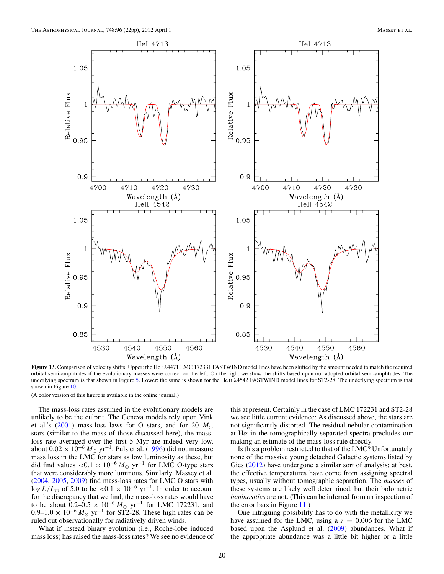

**Figure 13.** Comparison of velocity shifts. Upper: the He i λ4471 LMC 172331 FASTWIND model lines have been shifted by the amount needed to match the required orbital semi-amplitudes if the evolutionary masses were correct on the left. On the right we show the shifts based upon our adopted orbital semi-amplitudes. The underlying spectrum is that shown in Figure 5. Lower: the same is shown for the He π λ4542 FASTWIND model lines for ST2-28. The underlying spectrum is that shown in Figure 10.

The mass-loss rates assumed in the evolutionary models are unlikely to be the culprit. The Geneva models rely upon Vink et al.'s (2001) mass-loss laws for O stars, and for 20  $M_{\odot}$ stars (similar to the mass of those discussed here), the massloss rate averaged over the first 5 Myr are indeed very low, about  $0.02 \times 10^{-6}$   $M_{\odot}$  yr<sup>-1</sup>. Puls et al. (1996) did not measure mass loss in the LMC for stars as low luminosity as these, but did find values <0.1 × 10<sup>-6</sup>  $M_{\odot}$  yr<sup>-1</sup> for LMC O-type stars that were considerably more luminous. Similarly, Massey et al. (2004, 2005, 2009) find mass-loss rates for LMC O stars with log  $L/L_{\odot}$  of 5.0 to be <0.1 × 10<sup>-6</sup> yr<sup>-1</sup>. In order to account for the discrepancy that we find, the mass-loss rates would have to be about  $0.2-0.5 \times 10^{-6} M_{\odot}$  yr<sup>-1</sup> for LMC 172231, and 0.9–1.0  $\times$  10<sup>-6</sup>  $M_{\odot}$  yr<sup>-1</sup> for ST2-28. These high rates can be ruled out observationally for radiatively driven winds.

What if instead binary evolution (i.e., Roche-lobe induced mass loss) has raised the mass-loss rates? We see no evidence of this at present. Certainly in the case of LMC 172231 and ST2-28 we see little current evidence: As discussed above, the stars are not significantly distorted. The residual nebular contamination at  $H\alpha$  in the tomographically separated spectra precludes our making an estimate of the mass-loss rate directly.

Is this a problem restricted to that of the LMC? Unfortunately none of the massive young detached Galactic systems listed by Gies (2012) have undergone a similar sort of analysis; at best, the effective temperatures have come from assigning spectral types, usually without tomographic separation. The *masses* of these systems are likely well determined, but their bolometric *luminosities* are not. (This can be inferred from an inspection of the error bars in Figure 11.)

One intriguing possibility has to do with the metallicity we have assumed for the LMC, using a  $z = 0.006$  for the LMC based upon the Asplund et al. (2009) abundances. What if the appropriate abundance was a little bit higher or a little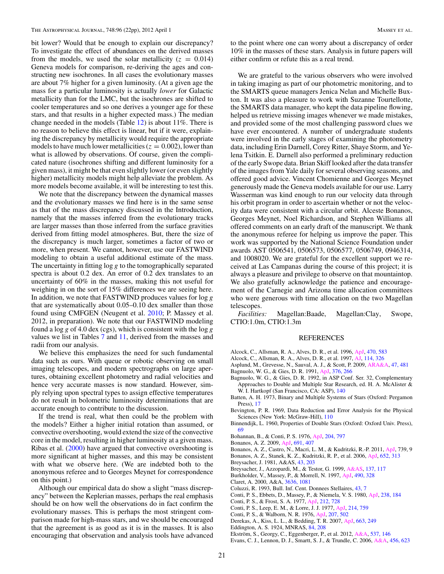bit lower? Would that be enough to explain our discrepancy? To investigate the effect of abundances on the derived masses from the models, we used the solar metallicity ( $z = 0.014$ ) Geneva models for comparison, re-deriving the ages and constructing new isochrones. In all cases the evolutionary masses are about 7% higher for a given luminosity. (At a given age the mass for a particular luminosity is actually *lower* for Galactic metallicity than for the LMC, but the isochrones are shifted to cooler temperatures and so one derives a younger age for these stars, and that results in a higher expected mass.) The median change needed in the models (Table 12) is about 11%. There is no reason to believe this effect is linear, but if it were, explaining the discrepancy by metallicity would require the appropriate models to have much lower metallicities ( $z = 0.002$ ), lower than what is allowed by observations. Of course, given the complicated nature (isochrones shifting and different luminosity for a given mass), it might be that even slightly lower (or even slightly higher) metallicity models might help alleviate the problem. As more models become available, it will be interesting to test this.

We note that the discrepancy between the dynamical masses and the evolutionary masses we find here is in the same sense as that of the mass discrepancy discussed in the Introduction, namely that the masses inferred from the evolutionary tracks are larger masses than those inferred from the surface gravities derived from fitting model atmospheres. But, there the size of the discrepancy is much larger, sometimes a factor of two or more, when present. We cannot, however, use our FASTWIND modeling to obtain a useful additional estimate of the mass. The uncertainty in fitting  $\log g$  to the tomographically separated spectra is about 0.2 dex. An error of 0.2 dex translates to an uncertainty of 60% in the masses, making this not useful for weighing in on the sort of 15% differences we are seeing here. In addition, we note that FASTWIND produces values for  $\log g$ that are systematically about 0.05–0.10 dex smaller than those found using CMFGEN (Neugent et al. 2010; P. Massey et al. 2012, in preparation). We note that our FASTWIND modeling found a  $\log g$  of 4.0 dex (cgs), which is consistent with the  $\log g$ values we list in Tables 7 and 11, derived from the masses and radii from our analysis.

We believe this emphasizes the need for such fundamental data such as ours. With queue or robotic observing on small imaging telescopes, and modern spectrographs on large apertures, obtaining excellent photometry and radial velocities and hence very accurate masses is now standard. However, simply relying upon spectral types to assign effective temperatures do not result in bolometric luminosity determinations that are accurate enough to contribute to the discussion.

If the trend is real, what then could be the problem with the models? Either a higher initial rotation than assumed, or convective overshooting, would extend the size of the convective core in the model, resulting in higher luminosity at a given mass. Ribas et al. (2000) have argued that convective overshooting is more significant at higher masses, and this may be consistent with what we observe here. (We are indebted both to the anonymous referee and to Georges Meynet for correspondence on this point.)

Although our empirical data do show a slight "mass discrepancy" between the Keplerian masses, perhaps the real emphasis should be on how well the observations do in fact confirm the evolutionary masses. This is perhaps the most stringent comparison made for high-mass stars, and we should be encouraged that the agreement is as good as it is in the masses. It is also encouraging that observation and analysis tools have advanced to the point where one can worry about a discrepancy of order 10% in the masses of these stars. Analysis in future papers will either confirm or refute this as a real trend.

We are grateful to the various observers who were involved in taking imaging as part of our photometric monitoring, and to the SMARTS queue managers Jenica Nelan and Michelle Buxton. It was also a pleasure to work with Suzanne Tourtellotte, the SMARTS data manager, who kept the data pipeline flowing, helped us retrieve missing images whenever we made mistakes, and provided some of the most challenging password clues we have ever encountered. A number of undergraduate students were involved in the early stages of examining the photometry data, including Erin Darnell, Corey Ritter, Shaye Storm, and Yelena Tsitkin. E. Darnell also performed a preliminary reduction of the early Swope data. Brian Skiff looked after the data transfer of the images from Yale daily for several observing seasons, and offered good advice. Vincent Chomienne and Georges Meynet generously made the Geneva models available for our use. Larry Wasserman was kind enough to run our velocity data through his orbit program in order to ascertain whether or not the velocity data were consistent with a circular orbit. Alceste Bonanos, Georges Meynet, Noel Richardson, and Stephen Williams all offered comments on an early draft of the manuscript. We thank the anonymous referee for helping us improve the paper. This work was supported by the National Science Foundation under awards AST 0506541, 0506573, 0506577, 0506749, 0946314, and 1008020. We are grateful for the excellent support we received at Las Campanas during the course of this project; it is always a pleasure and privilege to observe on that mountaintop. We also gratefully acknowledge the patience and encouragement of the Carnegie and Arizona time allocation committees who were generous with time allocation on the two Magellan telescopes.

*Facilities:* Magellan:Baade, Magellan:Clay, Swope, CTIO:1.0m, CTIO:1.3m

#### REFERENCES

- Alcock, C., Allsman, R. A., Alves, D. R., et al. 1996, ApJ, 470, 583
- Alcock, C., Allsman, R. A., Alves, D. R., et al. 1997, AJ, 114, 326
- Asplund, M., Grevesse, N., Sauval, A. J., & Scott, P. 2009, ARA&A, 47, 481
- Bagnuolo, W. G., & Gies, D. R. 1991, ApJ, 376, 266
- Bagnuolo, W. G., & Gies, D. R. 1992, in ASP Conf. Ser. 32, Complementary Approaches to Double and Multiple Star Research, ed. H. A. McAlister & W. I. Hartkopf (San Francisco, CA: ASP), 140
- Batten, A. H. 1973, Binary and Multiple Systems of Stars (Oxford: Pergamon Press), 17
- Bevington, P. R. 1969, Data Reduction and Error Analysis for the Physical Sciences (New York: McGraw-Hill), 110
- Binnendijk, L. 1960, Properties of Double Stars (Oxford: Oxford Univ. Press), 69
- Bohannan, B., & Conti, P. S. 1976, ApJ, 204, 797
- Bonanos, A. Z. 2009, ApJ, 691, 407
- Bonanos, A. Z., Castro, N., Macri, L. M., & Kudritzki, R.-P. 2011, ApJ, 739, 9
- Bonanos, A. Z., Stanek, K. Z., Kudritzki, R. P., et al. 2006, ApJ, 652, 313
- Breysacher, J. 1981, A&AS, 43, 203
- Breysacher, J., Azzopardi, M., & Testor, G. 1999, A&AS, 137, 117
- Burkholder, V., Massey, P., & Morrell, N. 1997, ApJ, 490, 328
- Claret, A. 2000, A&A, 3636, 1081
- Coluzzi, R. 1993, Bull. Inf. Cent. Donnees Stellaires, 43, 7
- Conti, P. S., Ebbets, D., Massey, P., & Niemela, V. S. 1980, ApJ, 238, 184
- Conti, P. S., & Frost, S. A. 1977, ApJ, 212, 728
- Conti, P. S., Leep, E. M., & Lorre, J. J. 1977, ApJ, 214, 759
- Conti, P. S., & Walborn, N. R. 1976, ApJ, 207, 502
- Derekas, A., Kiss, L. L., & Bedding, T. R. 2007, ApJ, 663, 249
- Eddington, A. S. 1924, MNRAS, 84, 208
- Ekström, S., Georgy, C., Eggenberger, P., et al. 2012, A&A, 537, 146
- Evans, C. J., Lennon, D. J., Smartt, S. J., & Trundle, C. 2006, A&A, 456, 623